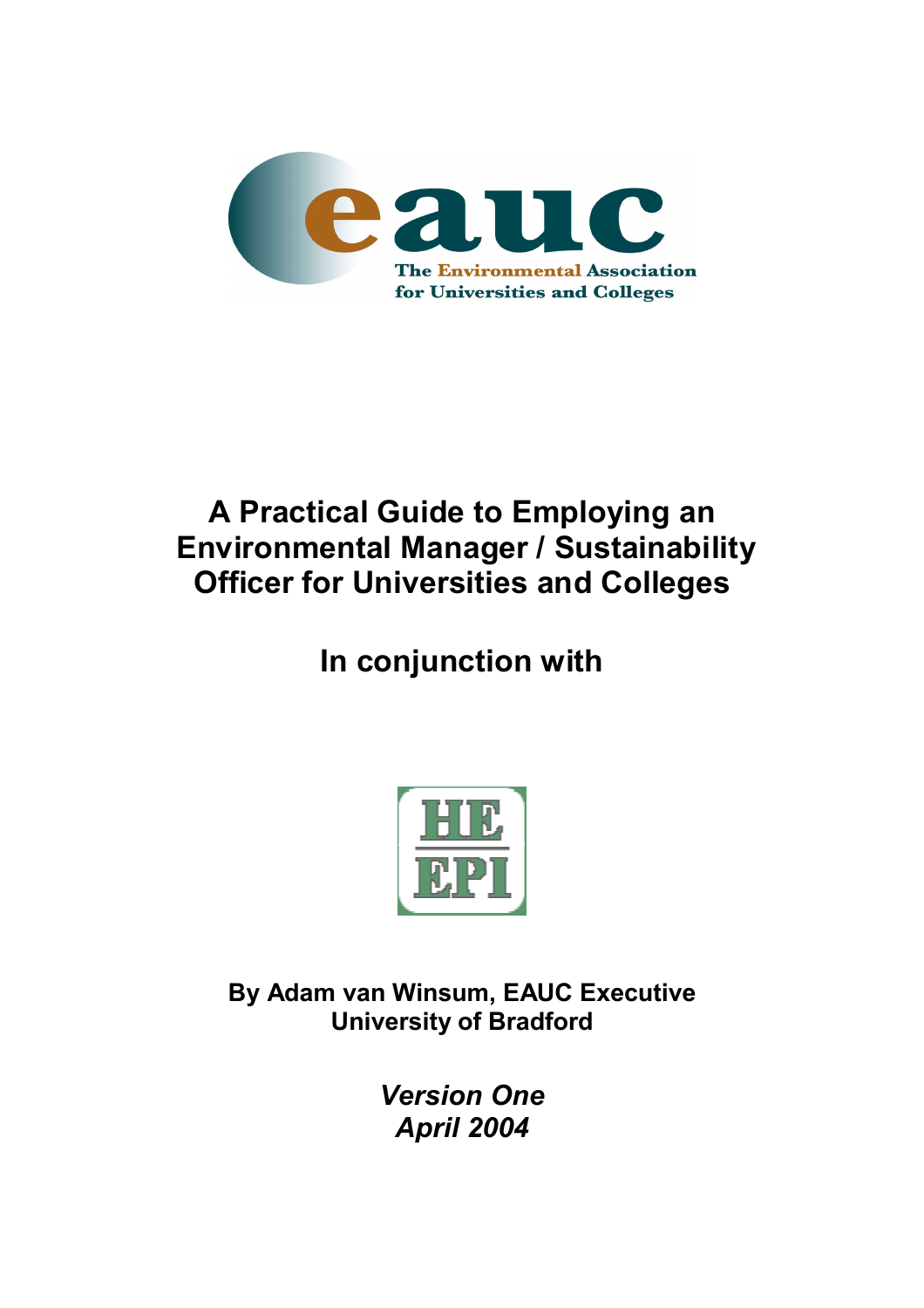

# **A Practical Guide to Employing an Environmental Manager / Sustainability Officer for Universities and Colleges**

**In conjunction with** 



**By Adam van Winsum, EAUC Executive University of Bradford** 

> *Version One April 2004*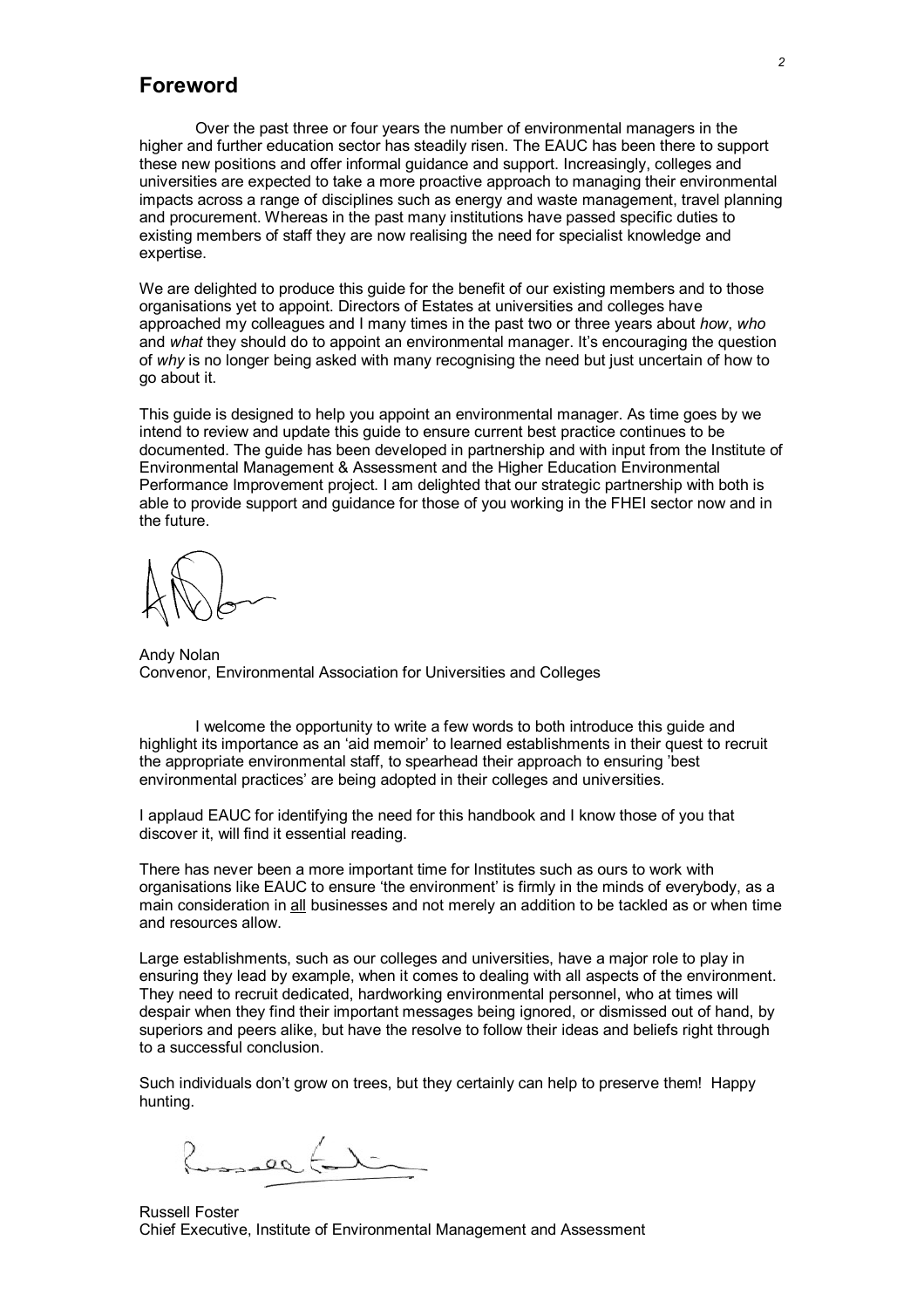### **Foreword**

Over the past three or four years the number of environmental managers in the higher and further education sector has steadily risen. The EAUC has been there to support these new positions and offer informal guidance and support. Increasingly, colleges and universities are expected to take a more proactive approach to managing their environmental impacts across a range of disciplines such as energy and waste management, travel planning and procurement. Whereas in the past many institutions have passed specific duties to existing members of staff they are now realising the need for specialist knowledge and expertise.

We are delighted to produce this guide for the benefit of our existing members and to those organisations yet to appoint. Directors of Estates at universities and colleges have approached my colleagues and I many times in the past two or three years about *how*, *who* and *what* they should do to appoint an environmental manager. It's encouraging the question of *why* is no longer being asked with many recognising the need but just uncertain of how to go about it.

This guide is designed to help you appoint an environmental manager. As time goes by we intend to review and update this guide to ensure current best practice continues to be documented. The guide has been developed in partnership and with input from the Institute of Environmental Management & Assessment and the Higher Education Environmental Performance Improvement project. I am delighted that our strategic partnership with both is able to provide support and guidance for those of you working in the FHEI sector now and in the future.

Andy Nolan Convenor, Environmental Association for Universities and Colleges

I welcome the opportunity to write a few words to both introduce this guide and highlight its importance as an 'aid memoir' to learned establishments in their quest to recruit the appropriate environmental staff, to spearhead their approach to ensuring 'best environmental practices' are being adopted in their colleges and universities.

I applaud EAUC for identifying the need for this handbook and I know those of you that discover it, will find it essential reading.

There has never been a more important time for Institutes such as ours to work with organisations like EAUC to ensure 'the environment' is firmly in the minds of everybody, as a main consideration in all businesses and not merely an addition to be tackled as or when time and resources allow.

Large establishments, such as our colleges and universities, have a major role to play in ensuring they lead by example, when it comes to dealing with all aspects of the environment. They need to recruit dedicated, hardworking environmental personnel, who at times will despair when they find their important messages being ignored, or dismissed out of hand, by superiors and peers alike, but have the resolve to follow their ideas and beliefs right through to a successful conclusion.

Such individuals don't grow on trees, but they certainly can help to preserve them! Happy hunting.

 $QQ$ 

Russell Foster Chief Executive, Institute of Environmental Management and Assessment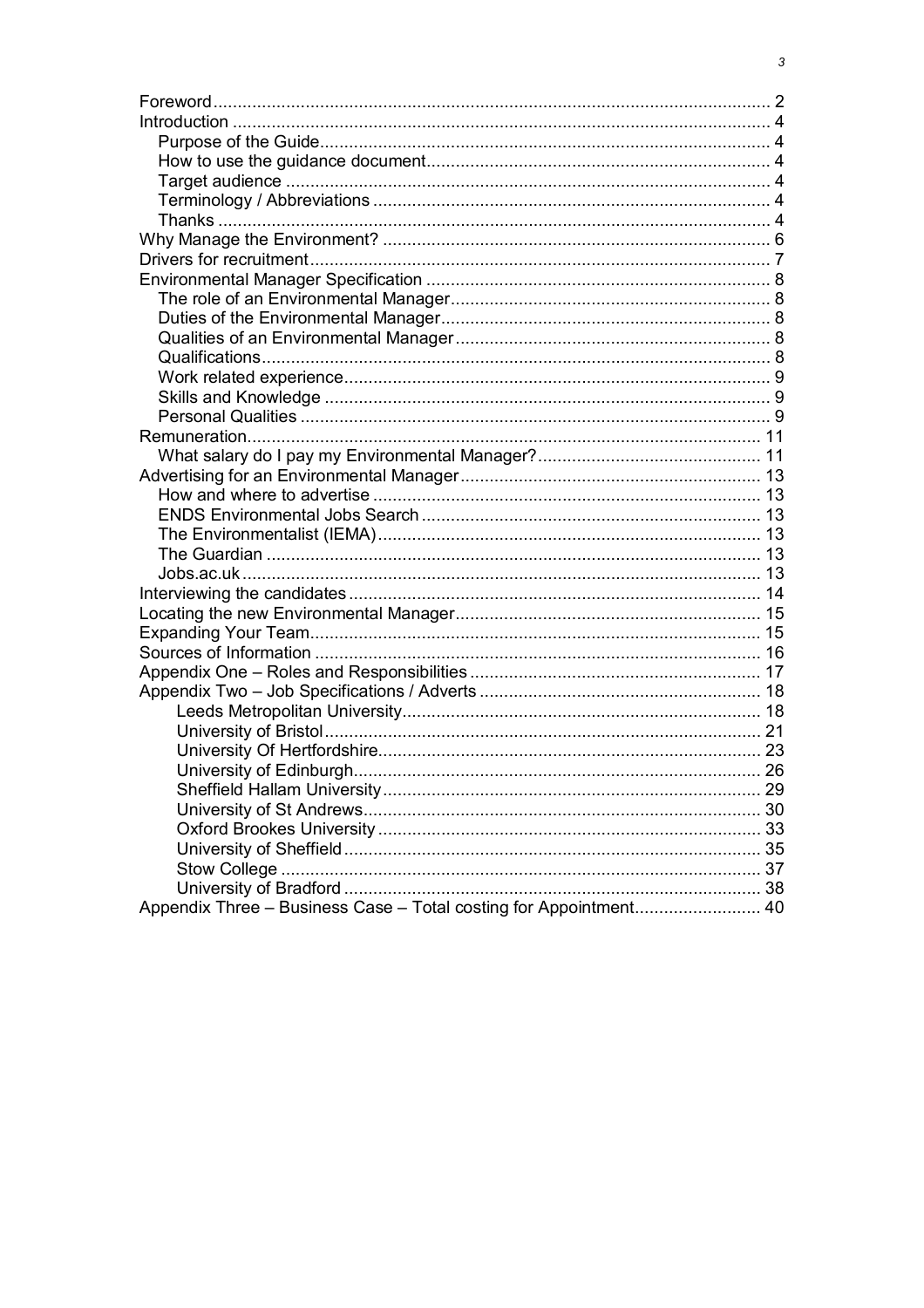| Appendix Three - Business Case - Total costing for Appointment 40 |  |
|-------------------------------------------------------------------|--|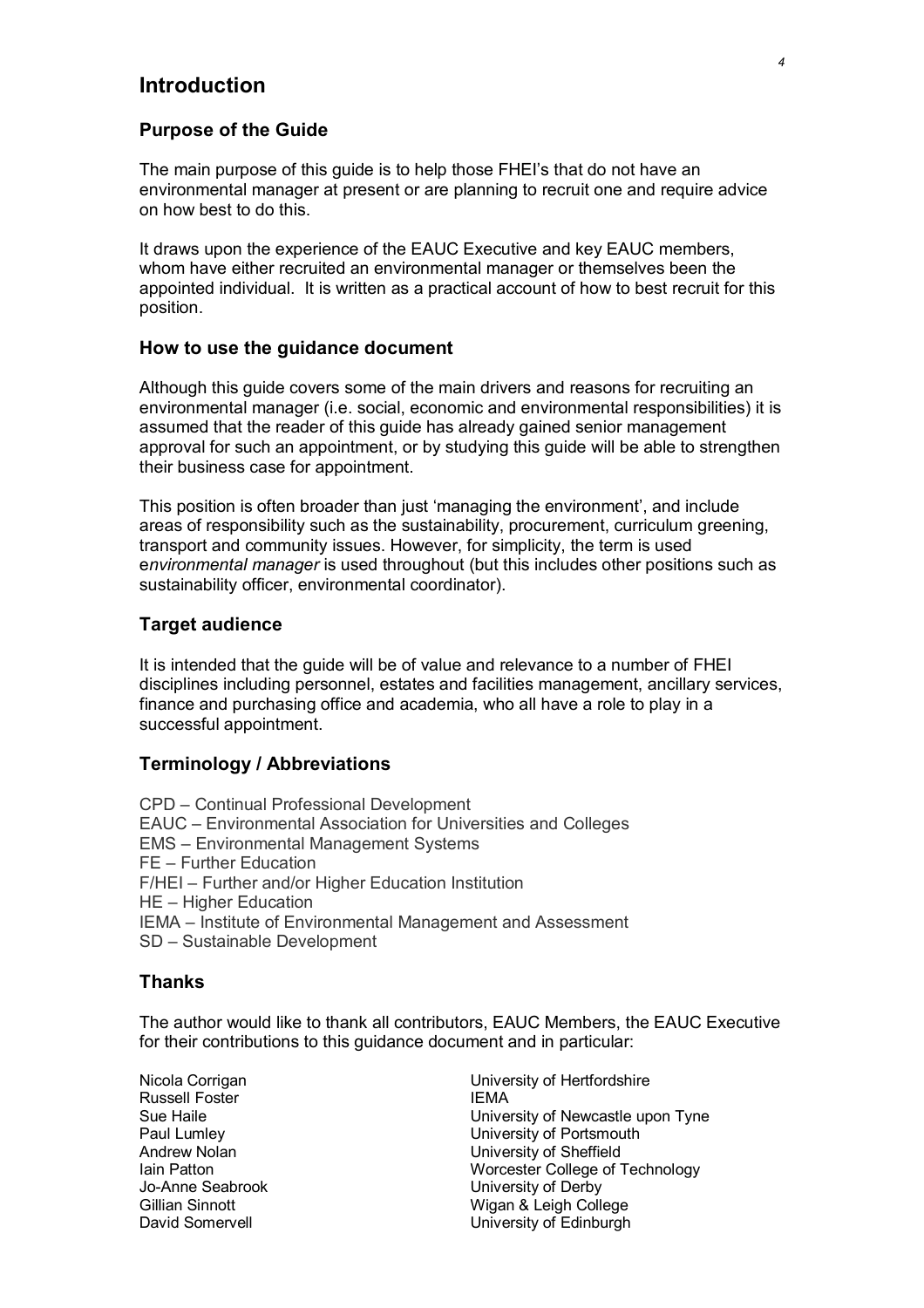### **Introduction**

### **Purpose of the Guide**

The main purpose of this guide is to help those FHEI's that do not have an environmental manager at present or are planning to recruit one and require advice on how best to do this.

It draws upon the experience of the EAUC Executive and key EAUC members, whom have either recruited an environmental manager or themselves been the appointed individual. It is written as a practical account of how to best recruit for this position.

### **How to use the guidance document**

Although this guide covers some of the main drivers and reasons for recruiting an environmental manager (i.e. social, economic and environmental responsibilities) it is assumed that the reader of this guide has already gained senior management approval for such an appointment, or by studying this guide will be able to strengthen their business case for appointment.

This position is often broader than just 'managing the environment', and include areas of responsibility such as the sustainability, procurement, curriculum greening, transport and community issues. However, for simplicity, the term is used e*nvironmental manager* is used throughout (but this includes other positions such as sustainability officer, environmental coordinator).

### **Target audience**

It is intended that the guide will be of value and relevance to a number of FHEI disciplines including personnel, estates and facilities management, ancillary services, finance and purchasing office and academia, who all have a role to play in a successful appointment.

### **Terminology / Abbreviations**

CPD – Continual Professional Development EAUC – Environmental Association for Universities and Colleges EMS – Environmental Management Systems FE – Further Education F/HEI – Further and/or Higher Education Institution HE – Higher Education IEMA – Institute of Environmental Management and Assessment SD – Sustainable Development

### **Thanks**

The author would like to thank all contributors, EAUC Members, the EAUC Executive for their contributions to this guidance document and in particular:

Russell Foster **IEMA** 

Nicola Corrigan University of Hertfordshire Sue Haile University of Newcastle upon Tyne Paul Lumley **Paul Lumbers** Paul Lumbersity of Portsmouth Andrew Nolan **No. 2018** University of Sheffield Iain Patton<br>
Io-Anne Seabrook **Interval College of Technology**<br>
University of Derby University of Derby Gillian Sinnott **Wigan & Leigh College** David Somervell **David Somervell University of Edinburgh**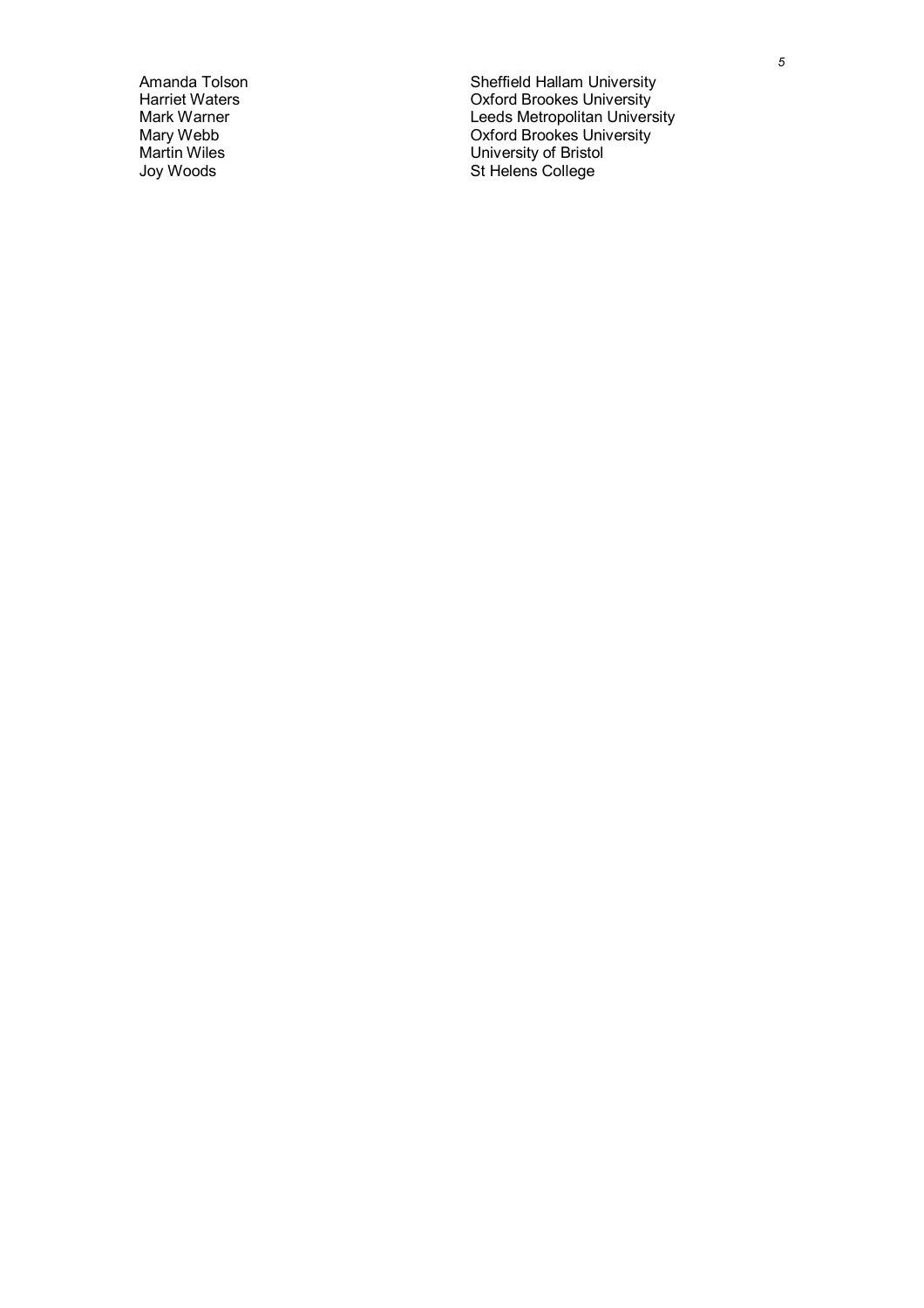Amanda Tolson Sheffield Hallam University Harriet Waters **National Community** Controller Controller Controller Controller Controller Controller Controller Mark Warner **Mark Warner Leeds Metropolitan University** Mary Webb Oxford Brookes University Martin Wiles **National Contract Contract Contract Contract Contract Contract Contract Contract Contract Contract Contract Contract Contract Contract Contract Contract Contract Contract Contract Contract Contract Contract C** Joy Woods **State College** St Helens College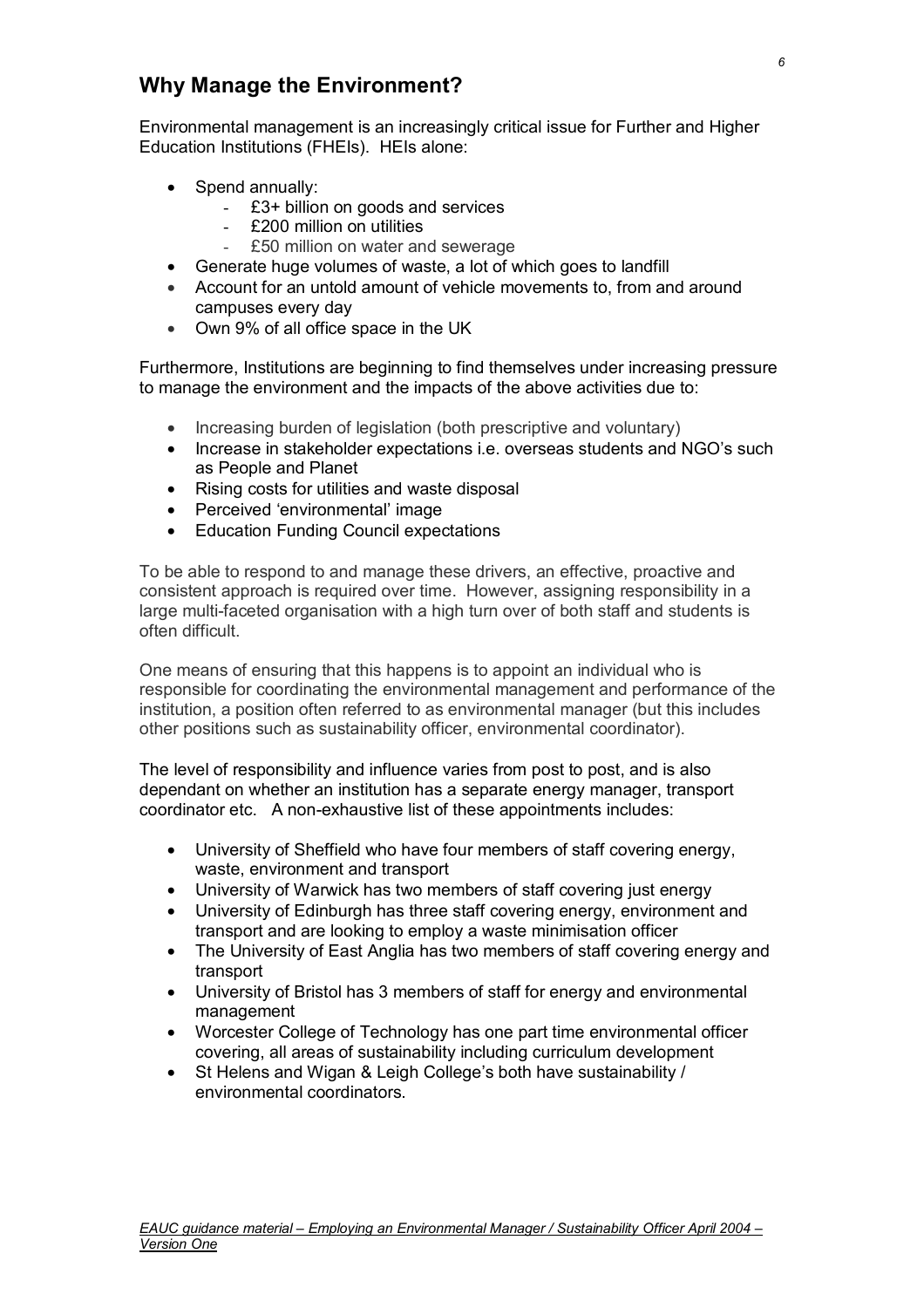### **Why Manage the Environment?**

Environmental management is an increasingly critical issue for Further and Higher Education Institutions (FHEIs). HEIs alone:

- Spend annually:
	- £3+ billion on goods and services
	- £200 million on utilities
	- £50 million on water and sewerage
- Generate huge volumes of waste, a lot of which goes to landfill
- Account for an untold amount of vehicle movements to, from and around campuses every day
- Own 9% of all office space in the UK

Furthermore, Institutions are beginning to find themselves under increasing pressure to manage the environment and the impacts of the above activities due to:

- Increasing burden of legislation (both prescriptive and voluntary)
- Increase in stakeholder expectations i.e. overseas students and NGO's such as People and Planet
- Rising costs for utilities and waste disposal
- Perceived 'environmental' image
- Education Funding Council expectations

To be able to respond to and manage these drivers, an effective, proactive and consistent approach is required over time. However, assigning responsibility in a large multi-faceted organisation with a high turn over of both staff and students is often difficult.

One means of ensuring that this happens is to appoint an individual who is responsible for coordinating the environmental management and performance of the institution, a position often referred to as environmental manager (but this includes other positions such as sustainability officer, environmental coordinator).

The level of responsibility and influence varies from post to post, and is also dependant on whether an institution has a separate energy manager, transport coordinator etc. A non-exhaustive list of these appointments includes:

- University of Sheffield who have four members of staff covering energy, waste, environment and transport
- University of Warwick has two members of staff covering just energy
- University of Edinburgh has three staff covering energy, environment and transport and are looking to employ a waste minimisation officer
- The University of East Anglia has two members of staff covering energy and transport
- University of Bristol has 3 members of staff for energy and environmental management
- Worcester College of Technology has one part time environmental officer covering, all areas of sustainability including curriculum development
- St Helens and Wigan & Leigh College's both have sustainability / environmental coordinators.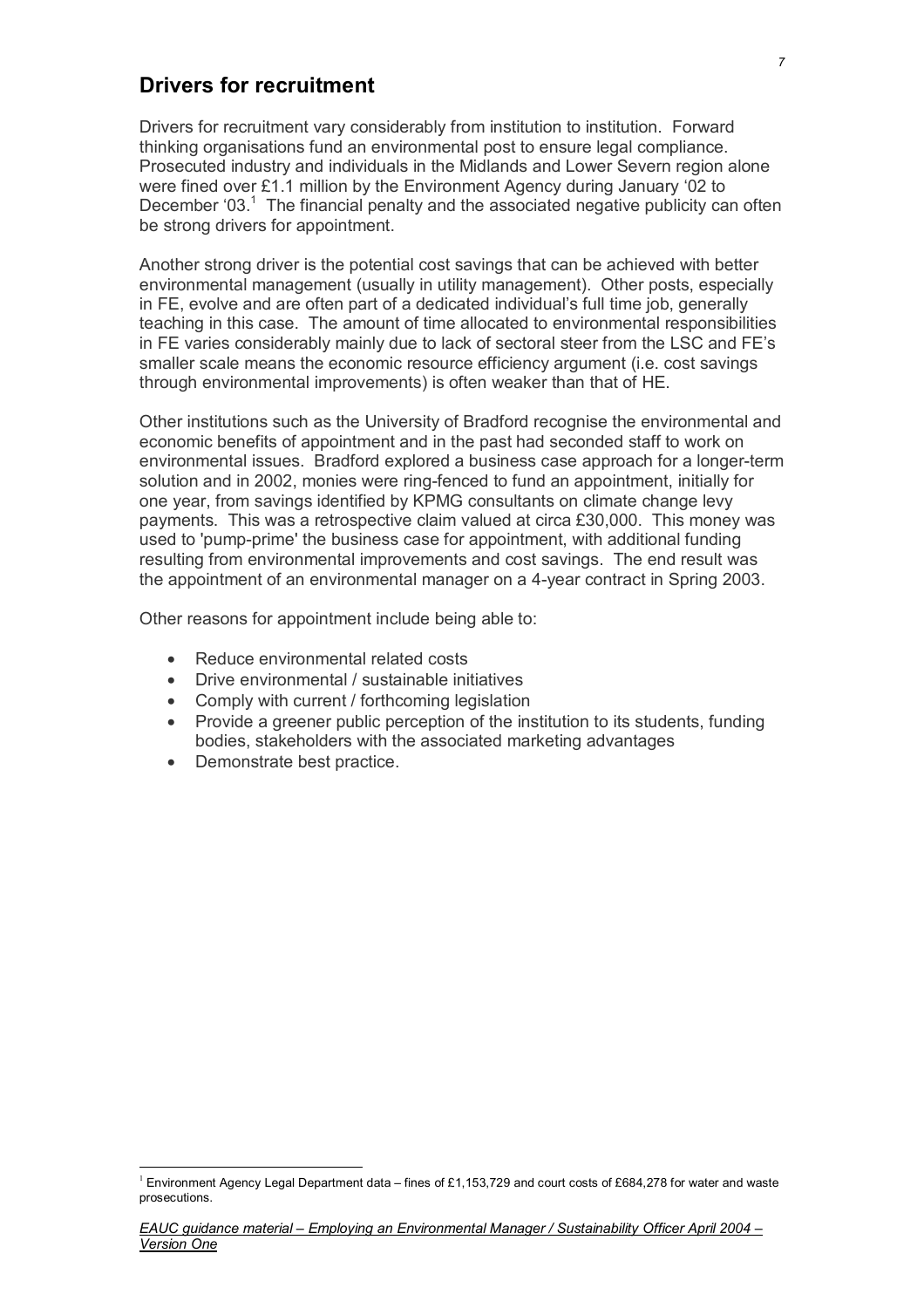### **Drivers for recruitment**

Drivers for recruitment vary considerably from institution to institution. Forward thinking organisations fund an environmental post to ensure legal compliance. Prosecuted industry and individuals in the Midlands and Lower Severn region alone were fined over £1.1 million by the Environment Agency during January '02 to December '03. $<sup>1</sup>$  The financial penalty and the associated negative publicity can often</sup> be strong drivers for appointment.

Another strong driver is the potential cost savings that can be achieved with better environmental management (usually in utility management). Other posts, especially in FE, evolve and are often part of a dedicated individual's full time job, generally teaching in this case. The amount of time allocated to environmental responsibilities in FE varies considerably mainly due to lack of sectoral steer from the LSC and FE's smaller scale means the economic resource efficiency argument (i.e. cost savings through environmental improvements) is often weaker than that of HE.

Other institutions such as the University of Bradford recognise the environmental and economic benefits of appointment and in the past had seconded staff to work on environmental issues. Bradford explored a business case approach for a longer-term solution and in 2002, monies were ring-fenced to fund an appointment, initially for one year, from savings identified by KPMG consultants on climate change levy payments. This was a retrospective claim valued at circa £30,000. This money was used to 'pump-prime' the business case for appointment, with additional funding resulting from environmental improvements and cost savings. The end result was the appointment of an environmental manager on a 4-year contract in Spring 2003.

Other reasons for appointment include being able to:

- Reduce environmental related costs
- Drive environmental / sustainable initiatives
- Comply with current / forthcoming legislation
- Provide a greener public perception of the institution to its students, funding bodies, stakeholders with the associated marketing advantages
- Demonstrate best practice.

 $\overline{a}$ 

<sup>&</sup>lt;sup>1</sup> Environment Agency Legal Department data – fines of £1,153,729 and court costs of £684,278 for water and waste prosecutions.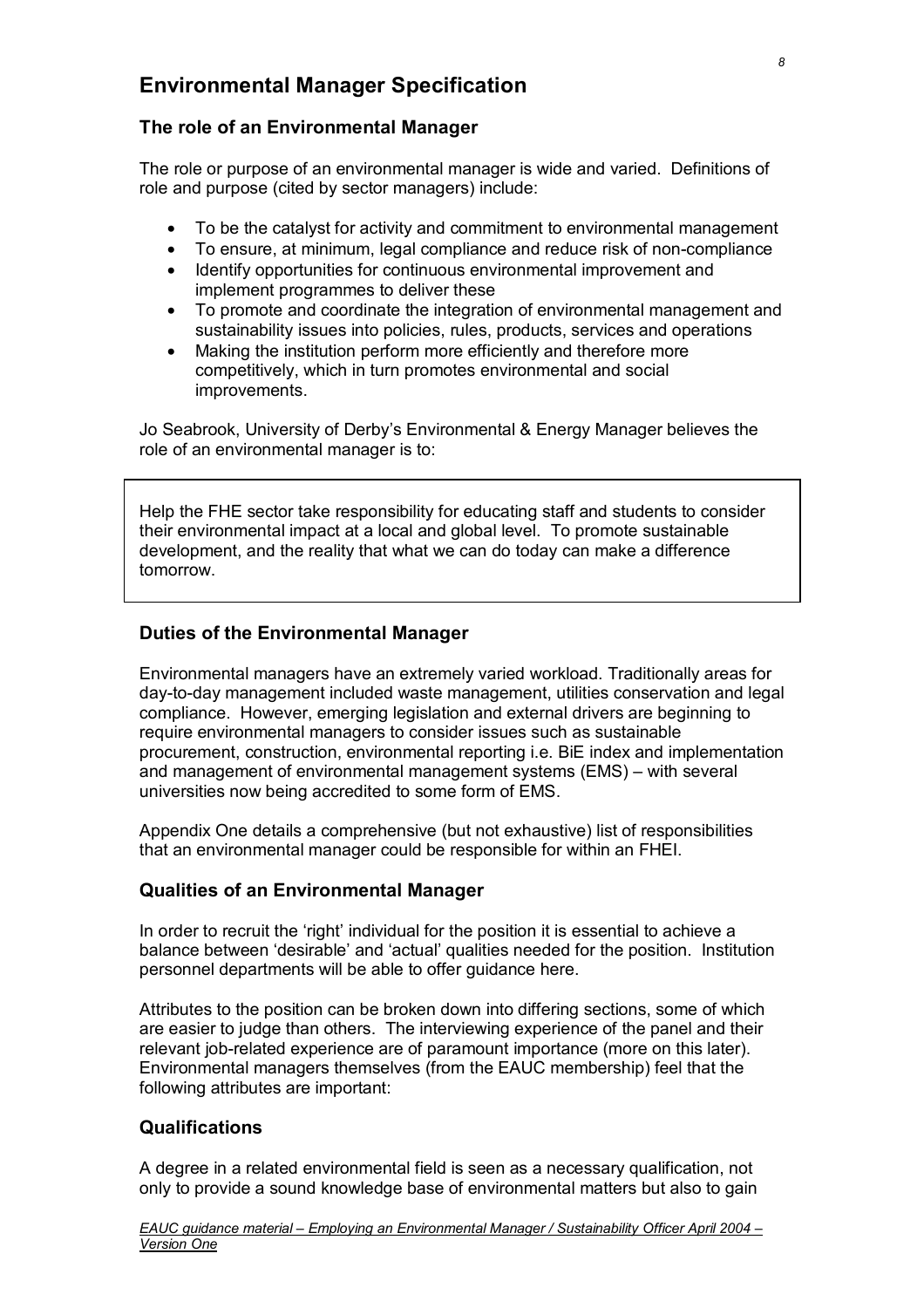### **Environmental Manager Specification**

### **The role of an Environmental Manager**

The role or purpose of an environmental manager is wide and varied. Definitions of role and purpose (cited by sector managers) include:

- To be the catalyst for activity and commitment to environmental management
- To ensure, at minimum, legal compliance and reduce risk of non-compliance
- Identify opportunities for continuous environmental improvement and implement programmes to deliver these
- To promote and coordinate the integration of environmental management and sustainability issues into policies, rules, products, services and operations
- Making the institution perform more efficiently and therefore more competitively, which in turn promotes environmental and social improvements.

Jo Seabrook, University of Derby's Environmental & Energy Manager believes the role of an environmental manager is to:

Help the FHE sector take responsibility for educating staff and students to consider their environmental impact at a local and global level. To promote sustainable development, and the reality that what we can do today can make a difference tomorrow.

### **Duties of the Environmental Manager**

Environmental managers have an extremely varied workload. Traditionally areas for day-to-day management included waste management, utilities conservation and legal compliance. However, emerging legislation and external drivers are beginning to require environmental managers to consider issues such as sustainable procurement, construction, environmental reporting i.e. BiE index and implementation and management of environmental management systems (EMS) – with several universities now being accredited to some form of EMS.

Appendix One details a comprehensive (but not exhaustive) list of responsibilities that an environmental manager could be responsible for within an FHEI.

### **Qualities of an Environmental Manager**

In order to recruit the 'right' individual for the position it is essential to achieve a balance between 'desirable' and 'actual' qualities needed for the position. Institution personnel departments will be able to offer guidance here.

Attributes to the position can be broken down into differing sections, some of which are easier to judge than others. The interviewing experience of the panel and their relevant job-related experience are of paramount importance (more on this later). Environmental managers themselves (from the EAUC membership) feel that the following attributes are important:

### **Qualifications**

A degree in a related environmental field is seen as a necessary qualification, not only to provide a sound knowledge base of environmental matters but also to gain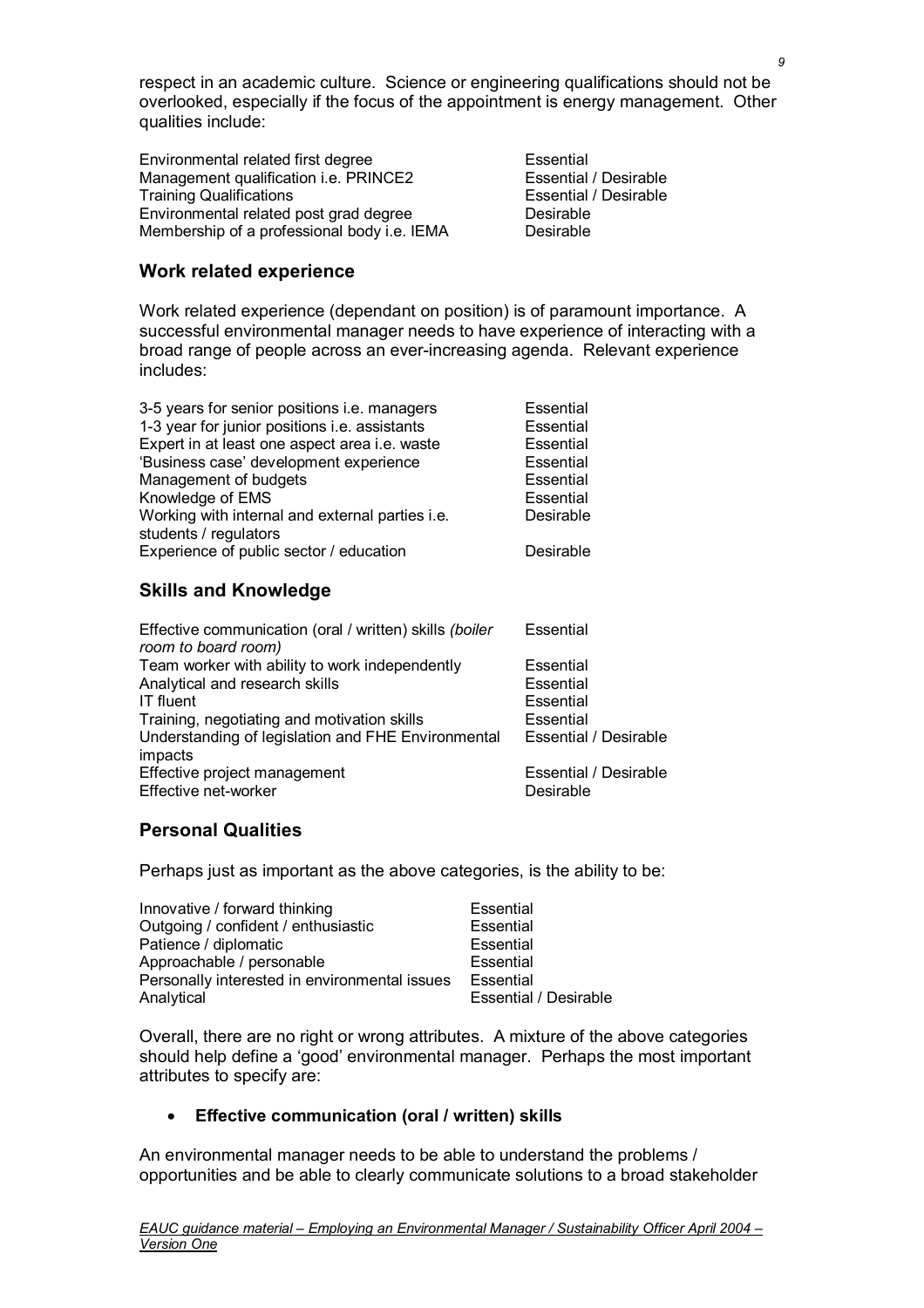respect in an academic culture. Science or engineering qualifications should not be overlooked, especially if the focus of the appointment is energy management. Other qualities include:

Environmental related first degree<br>
Management qualification i.e. PRINCE2<br>
Essential / Desirable Management qualification i.e. PRINCE2 Training Qualifications **Essential** / Desirable Environmental related post grad degree Desirable Membership of a professional body i.e. IEMA Desirable

### **Work related experience**

Work related experience (dependant on position) is of paramount importance. A successful environmental manager needs to have experience of interacting with a broad range of people across an ever-increasing agenda. Relevant experience includes:

| 3-5 years for senior positions i.e. managers                             | <b>Essential</b> |
|--------------------------------------------------------------------------|------------------|
| 1-3 year for junior positions i.e. assistants                            | Essential        |
| Expert in at least one aspect area i.e. waste                            | Essential        |
| 'Business case' development experience                                   | Essential        |
| Management of budgets                                                    | Essential        |
| Knowledge of EMS                                                         | Essential        |
| Working with internal and external parties i.e.<br>students / regulators | Desirable        |
| Experience of public sector / education                                  | Desirable        |

### **Skills and Knowledge**

| Effective communication (oral / written) skills (boiler<br>room to board room) | Essential                    |
|--------------------------------------------------------------------------------|------------------------------|
| Team worker with ability to work independently                                 | Essential                    |
| Analytical and research skills                                                 | Essential                    |
| <b>IT fluent</b>                                                               | Essential                    |
| Training, negotiating and motivation skills                                    | Essential                    |
| Understanding of legislation and FHE Environmental                             | <b>Essential / Desirable</b> |
| impacts                                                                        |                              |
| Effective project management                                                   | <b>Essential / Desirable</b> |
| Effective net-worker                                                           | Desirable                    |

### **Personal Qualities**

Perhaps just as important as the above categories, is the ability to be:

| Innovative / forward thinking                 | Essential                    |
|-----------------------------------------------|------------------------------|
| Outgoing / confident / enthusiastic           | Essential                    |
| Patience / diplomatic                         | Essential                    |
| Approachable / personable                     | Essential                    |
| Personally interested in environmental issues | Essential                    |
| Analytical                                    | <b>Essential / Desirable</b> |

Overall, there are no right or wrong attributes. A mixture of the above categories should help define a 'good' environmental manager. Perhaps the most important attributes to specify are:

### • **Effective communication (oral / written) skills**

An environmental manager needs to be able to understand the problems / opportunities and be able to clearly communicate solutions to a broad stakeholder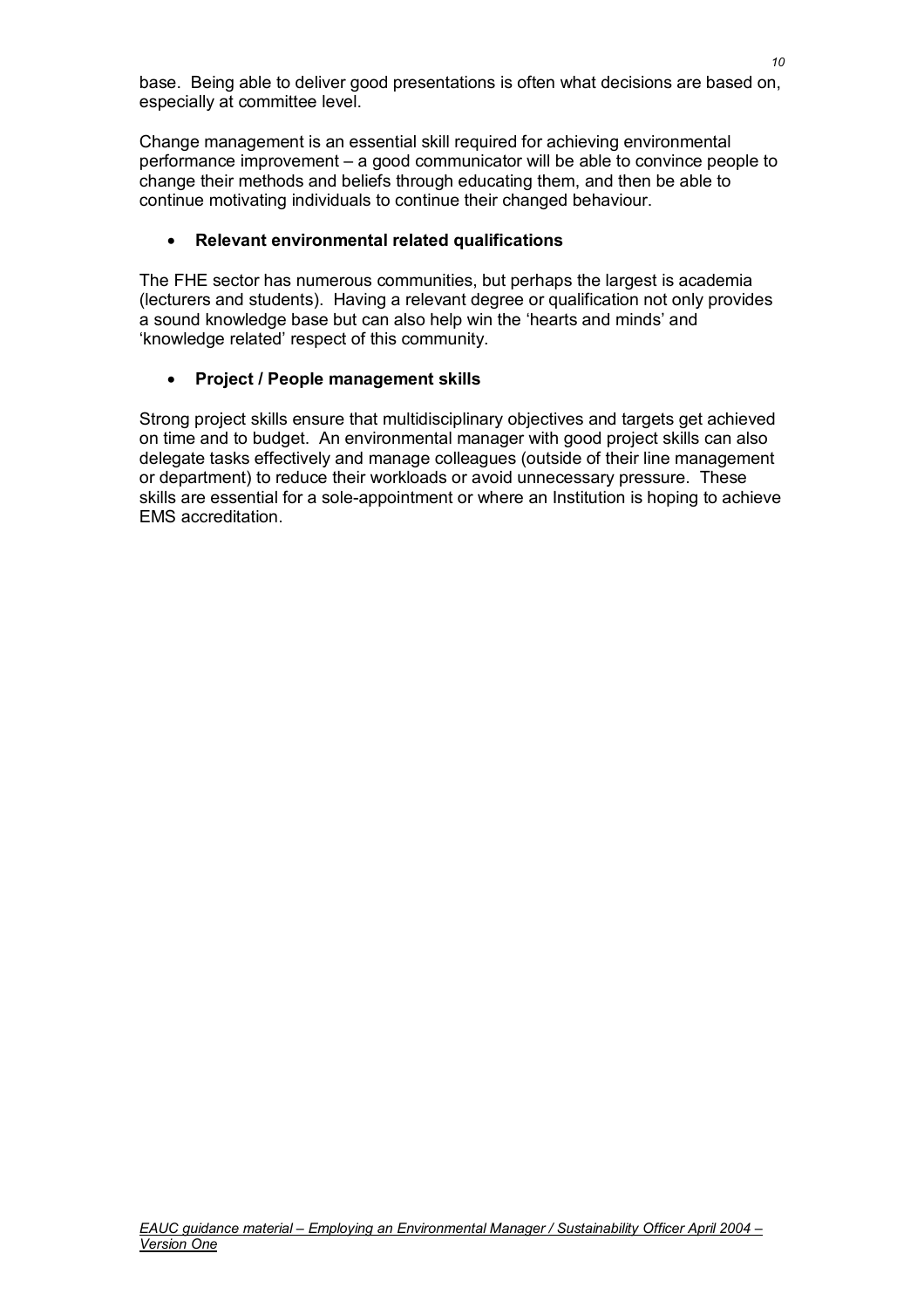base. Being able to deliver good presentations is often what decisions are based on, especially at committee level.

Change management is an essential skill required for achieving environmental performance improvement – a good communicator will be able to convince people to change their methods and beliefs through educating them, and then be able to continue motivating individuals to continue their changed behaviour.

### • **Relevant environmental related qualifications**

The FHE sector has numerous communities, but perhaps the largest is academia (lecturers and students). Having a relevant degree or qualification not only provides a sound knowledge base but can also help win the 'hearts and minds' and 'knowledge related' respect of this community.

### • **Project / People management skills**

Strong project skills ensure that multidisciplinary objectives and targets get achieved on time and to budget. An environmental manager with good project skills can also delegate tasks effectively and manage colleagues (outside of their line management or department) to reduce their workloads or avoid unnecessary pressure. These skills are essential for a sole-appointment or where an Institution is hoping to achieve EMS accreditation.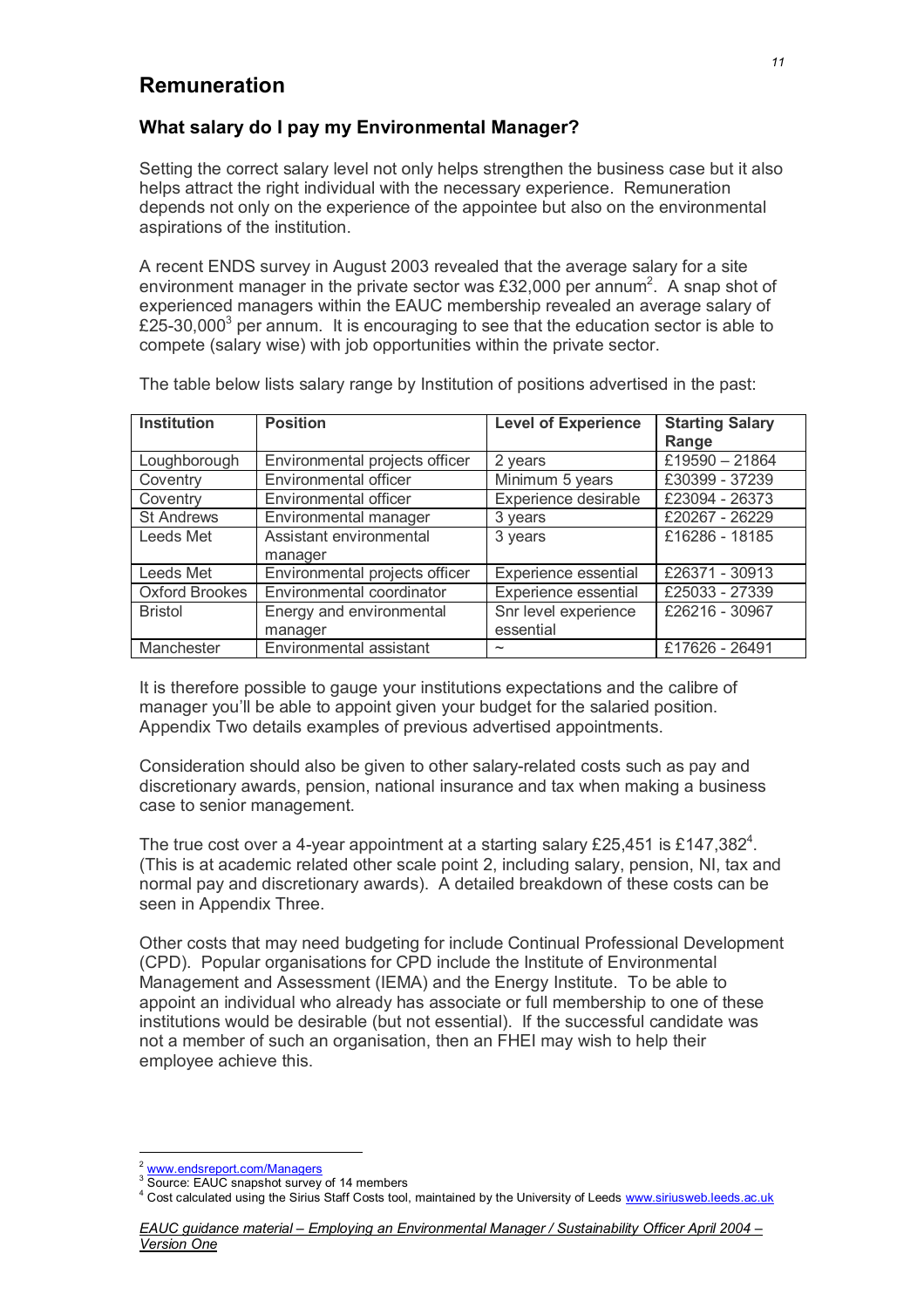### **Remuneration**

### **What salary do I pay my Environmental Manager?**

Setting the correct salary level not only helps strengthen the business case but it also helps attract the right individual with the necessary experience. Remuneration depends not only on the experience of the appointee but also on the environmental aspirations of the institution.

A recent ENDS survey in August 2003 revealed that the average salary for a site environment manager in the private sector was £32,000 per annum<sup>2</sup>. A snap shot of experienced managers within the EAUC membership revealed an average salary of £25-30,000<sup>3</sup> per annum. It is encouraging to see that the education sector is able to compete (salary wise) with job opportunities within the private sector.

| <b>Institution</b>    | <b>Position</b>                | <b>Level of Experience</b> | <b>Starting Salary</b> |
|-----------------------|--------------------------------|----------------------------|------------------------|
|                       |                                |                            | Range                  |
| Loughborough          | Environmental projects officer | 2 years                    | £19590 - 21864         |
| Coventry              | Environmental officer          | Minimum 5 years            | £30399 - 37239         |
| Coventry              | Environmental officer          | Experience desirable       | £23094 - 26373         |
| <b>St Andrews</b>     | Environmental manager          | 3 years                    | £20267 - 26229         |
| Leeds Met             | Assistant environmental        | 3 years                    | £16286 - 18185         |
|                       | manager                        |                            |                        |
| Leeds Met             | Environmental projects officer | Experience essential       | £26371 - 30913         |
| <b>Oxford Brookes</b> | Environmental coordinator      | Experience essential       | £25033 - 27339         |
| <b>Bristol</b>        | Energy and environmental       | Snr level experience       | £26216 - 30967         |
|                       | manager                        | essential                  |                        |
| Manchester            | Environmental assistant        | $\widetilde{\phantom{m}}$  | £17626 - 26491         |

The table below lists salary range by Institution of positions advertised in the past:

It is therefore possible to gauge your institutions expectations and the calibre of manager you'll be able to appoint given your budget for the salaried position. Appendix Two details examples of previous advertised appointments.

Consideration should also be given to other salary-related costs such as pay and discretionary awards, pension, national insurance and tax when making a business case to senior management.

The true cost over a 4-year appointment at a starting salary £25,451 is £147,382<sup>4</sup>. (This is at academic related other scale point 2, including salary, pension, NI, tax and normal pay and discretionary awards). A detailed breakdown of these costs can be seen in Appendix Three.

Other costs that may need budgeting for include Continual Professional Development (CPD). Popular organisations for CPD include the Institute of Environmental Management and Assessment (IEMA) and the Energy Institute. To be able to appoint an individual who already has associate or full membership to one of these institutions would be desirable (but not essential). If the successful candidate was not a member of such an organisation, then an FHEI may wish to help their employee achieve this.

 $\overline{a}$  $\frac{2}{3}$  www.endsreport.com/Managers

<sup>&</sup>lt;sup>3</sup> Source: EAUC snapshot survey of 14 members

<sup>&</sup>lt;sup>4</sup> Cost calculated using the Sirius Staff Costs tool, maintained by the University of Leeds www.siriusweb.leeds.ac.uk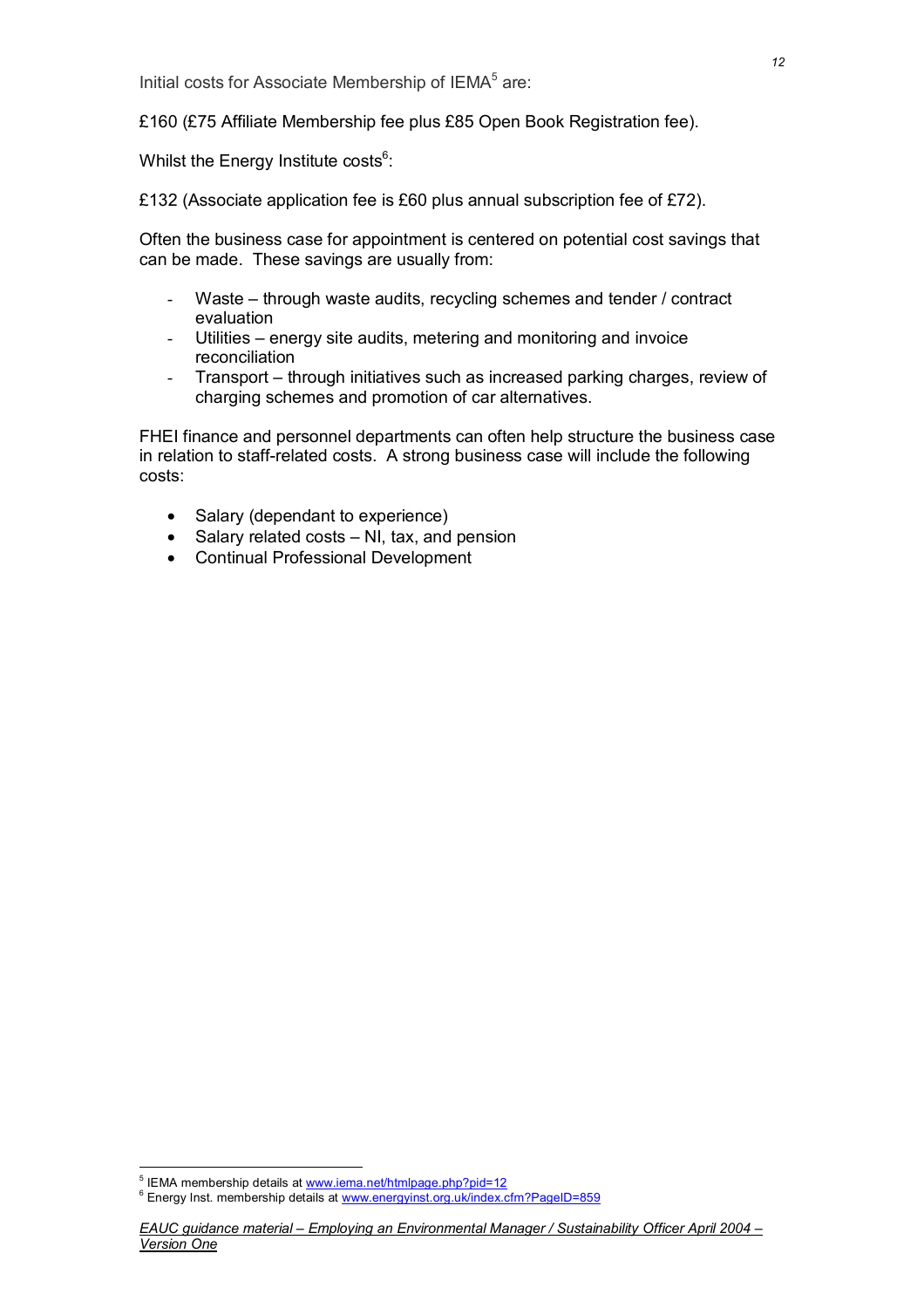Initial costs for Associate Membership of IEMA<sup>5</sup> are:

£160 (£75 Affiliate Membership fee plus £85 Open Book Registration fee).

Whilst the Energy Institute costs $6$ :

£132 (Associate application fee is £60 plus annual subscription fee of £72).

Often the business case for appointment is centered on potential cost savings that can be made. These savings are usually from:

- Waste through waste audits, recycling schemes and tender / contract evaluation
- Utilities energy site audits, metering and monitoring and invoice reconciliation
- Transport through initiatives such as increased parking charges, review of charging schemes and promotion of car alternatives.

FHEI finance and personnel departments can often help structure the business case in relation to staff-related costs. A strong business case will include the following costs:

- Salary (dependant to experience)
- Salary related costs NI, tax, and pension
- Continual Professional Development

<sup>&</sup>lt;sup>5</sup> IEMA membership details at <u>www.iema.net/htmlpage.php?pid=12</u><br><sup>6</sup> Energy last, membership details at ussus operatingt are ultiladed at

<sup>&</sup>lt;sup>6</sup> Energy Inst. membership details at www.energyinst.org.uk/index.cfm?PageID=859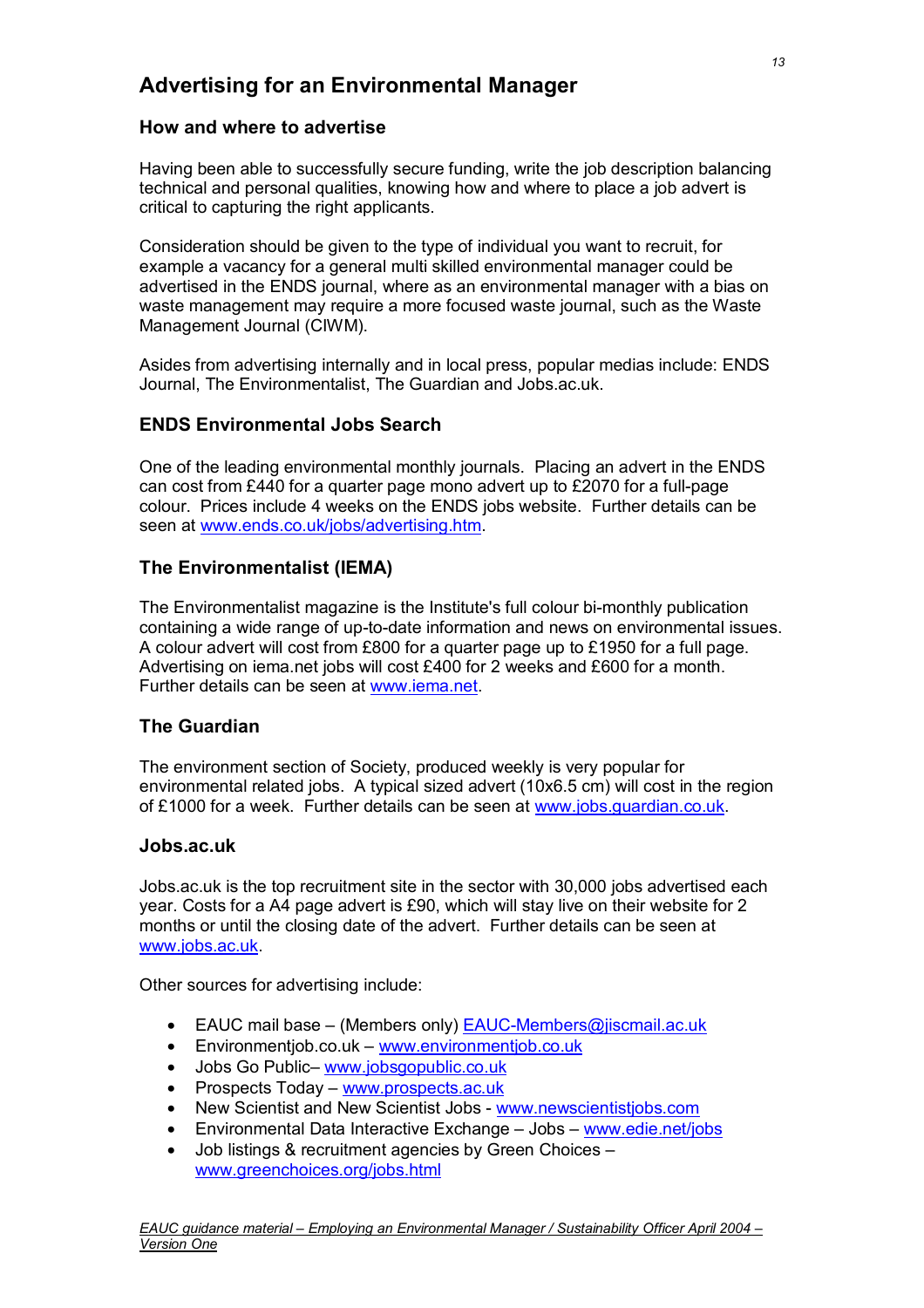### **Advertising for an Environmental Manager**

### **How and where to advertise**

Having been able to successfully secure funding, write the job description balancing technical and personal qualities, knowing how and where to place a job advert is critical to capturing the right applicants.

Consideration should be given to the type of individual you want to recruit, for example a vacancy for a general multi skilled environmental manager could be advertised in the ENDS journal, where as an environmental manager with a bias on waste management may require a more focused waste journal, such as the Waste Management Journal (CIWM).

Asides from advertising internally and in local press, popular medias include: ENDS Journal, The Environmentalist, The Guardian and Jobs.ac.uk.

### **ENDS Environmental Jobs Search**

One of the leading environmental monthly journals. Placing an advert in the ENDS can cost from £440 for a quarter page mono advert up to £2070 for a full-page colour. Prices include 4 weeks on the ENDS jobs website. Further details can be seen at www.ends.co.uk/jobs/advertising.htm.

### **The Environmentalist (IEMA)**

The Environmentalist magazine is the Institute's full colour bi-monthly publication containing a wide range of up-to-date information and news on environmental issues. A colour advert will cost from £800 for a quarter page up to £1950 for a full page. Advertising on iema.net jobs will cost £400 for 2 weeks and £600 for a month. Further details can be seen at www.iema.net.

### **The Guardian**

The environment section of Society, produced weekly is very popular for environmental related jobs. A typical sized advert (10x6.5 cm) will cost in the region of £1000 for a week. Further details can be seen at www.jobs.guardian.co.uk.

### **Jobs.ac.uk**

Jobs.ac.uk is the top recruitment site in the sector with 30,000 jobs advertised each year. Costs for a A4 page advert is £90, which will stay live on their website for 2 months or until the closing date of the advert. Further details can be seen at www.jobs.ac.uk.

Other sources for advertising include:

- EAUC mail base (Members only) EAUC-Members@jiscmail.ac.uk
- Environmentjob.co.uk www.environmentjob.co.uk
- Jobs Go Public– www.jobsgopublic.co.uk
- Prospects Today www.prospects.ac.uk
- New Scientist and New Scientist Jobs www.newscientistjobs.com
- Environmental Data Interactive Exchange Jobs www.edie.net/jobs
- Job listings & recruitment agencies by Green Choices www.greenchoices.org/jobs.html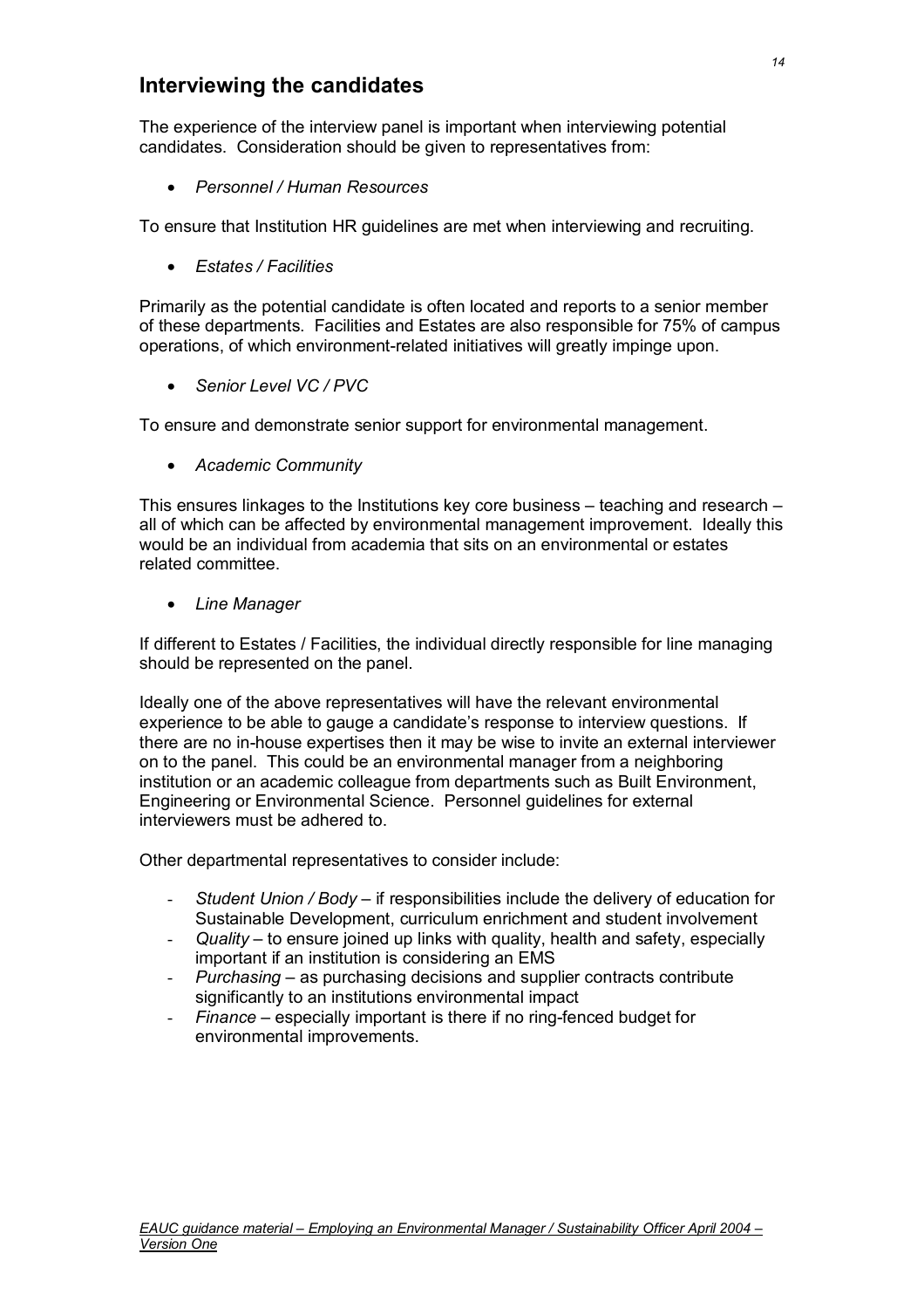### **Interviewing the candidates**

The experience of the interview panel is important when interviewing potential candidates. Consideration should be given to representatives from:

• *Personnel / Human Resources*

To ensure that Institution HR guidelines are met when interviewing and recruiting.

• *Estates / Facilities*

Primarily as the potential candidate is often located and reports to a senior member of these departments. Facilities and Estates are also responsible for 75% of campus operations, of which environment-related initiatives will greatly impinge upon.

• *Senior Level VC / PVC*

To ensure and demonstrate senior support for environmental management.

• *Academic Community* 

This ensures linkages to the Institutions key core business  $-$  teaching and research  $$ all of which can be affected by environmental management improvement. Ideally this would be an individual from academia that sits on an environmental or estates related committee.

• *Line Manager*

If different to Estates / Facilities, the individual directly responsible for line managing should be represented on the panel.

Ideally one of the above representatives will have the relevant environmental experience to be able to gauge a candidate's response to interview questions. If there are no in-house expertises then it may be wise to invite an external interviewer on to the panel. This could be an environmental manager from a neighboring institution or an academic colleague from departments such as Built Environment, Engineering or Environmental Science. Personnel guidelines for external interviewers must be adhered to.

Other departmental representatives to consider include:

- *Student Union / Body* if responsibilities include the delivery of education for Sustainable Development, curriculum enrichment and student involvement
- Quality to ensure joined up links with quality, health and safety, especially important if an institution is considering an EMS
- *Purchasing*  as purchasing decisions and supplier contracts contribute significantly to an institutions environmental impact
- *Finance* especially important is there if no ring-fenced budget for environmental improvements.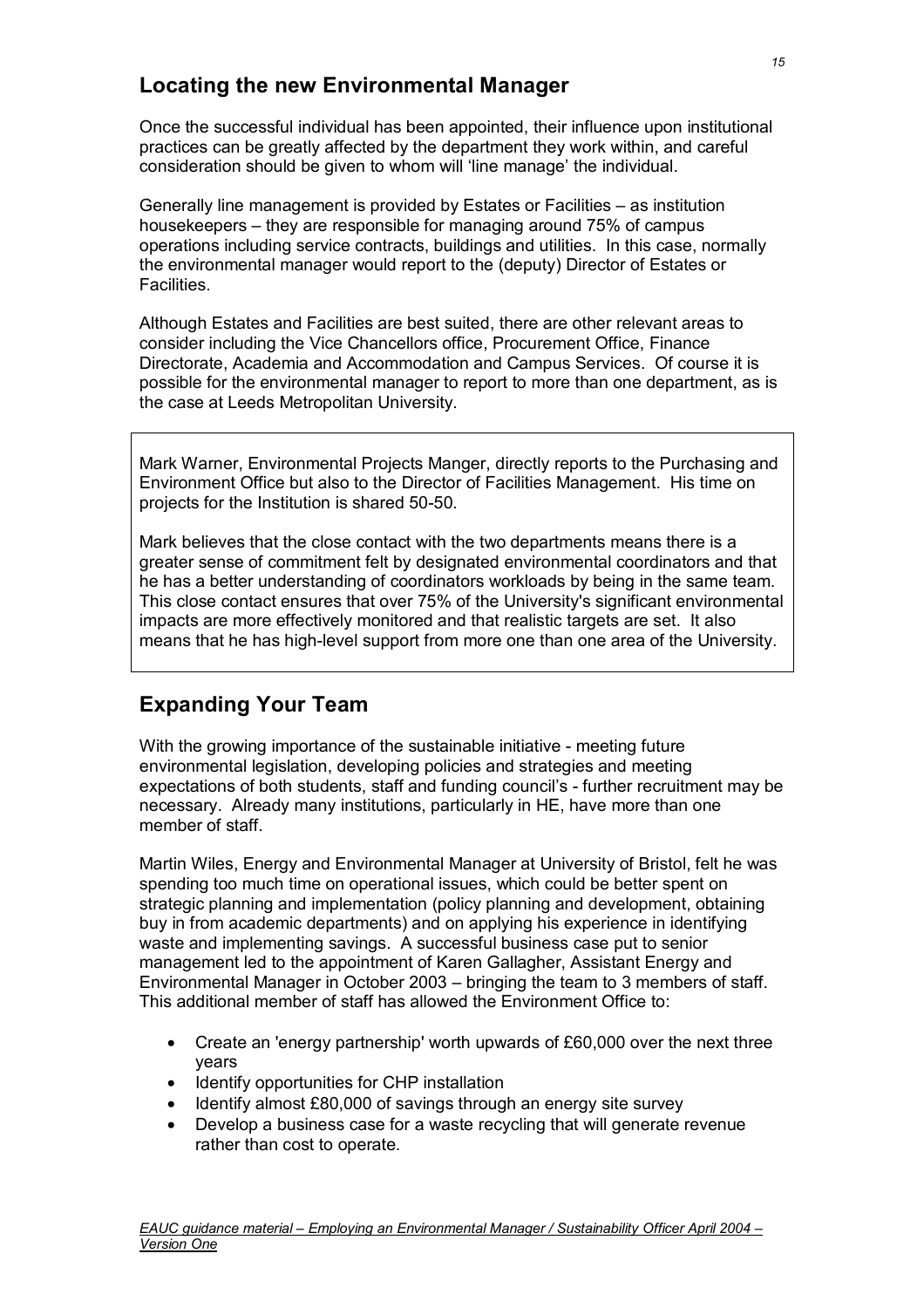### **Locating the new Environmental Manager**

Once the successful individual has been appointed, their influence upon institutional practices can be greatly affected by the department they work within, and careful consideration should be given to whom will 'line manage' the individual.

Generally line management is provided by Estates or Facilities – as institution housekeepers – they are responsible for managing around 75% of campus operations including service contracts, buildings and utilities. In this case, normally the environmental manager would report to the (deputy) Director of Estates or **Facilities** 

Although Estates and Facilities are best suited, there are other relevant areas to consider including the Vice Chancellors office, Procurement Office, Finance Directorate, Academia and Accommodation and Campus Services. Of course it is possible for the environmental manager to report to more than one department, as is the case at Leeds Metropolitan University.

Mark Warner, Environmental Projects Manger, directly reports to the Purchasing and Environment Office but also to the Director of Facilities Management. His time on projects for the Institution is shared 50-50.

Mark believes that the close contact with the two departments means there is a greater sense of commitment felt by designated environmental coordinators and that he has a better understanding of coordinators workloads by being in the same team. This close contact ensures that over 75% of the University's significant environmental impacts are more effectively monitored and that realistic targets are set. It also means that he has high-level support from more one than one area of the University.

### **Expanding Your Team**

With the growing importance of the sustainable initiative - meeting future environmental legislation, developing policies and strategies and meeting expectations of both students, staff and funding council's - further recruitment may be necessary. Already many institutions, particularly in HE, have more than one member of staff.

Martin Wiles, Energy and Environmental Manager at University of Bristol, felt he was spending too much time on operational issues, which could be better spent on strategic planning and implementation (policy planning and development, obtaining buy in from academic departments) and on applying his experience in identifying waste and implementing savings. A successful business case put to senior management led to the appointment of Karen Gallagher, Assistant Energy and Environmental Manager in October 2003 – bringing the team to 3 members of staff. This additional member of staff has allowed the Environment Office to:

- Create an 'energy partnership' worth upwards of £60,000 over the next three years
- Identify opportunities for CHP installation
- Identify almost £80,000 of savings through an energy site survey
- Develop a business case for a waste recycling that will generate revenue rather than cost to operate.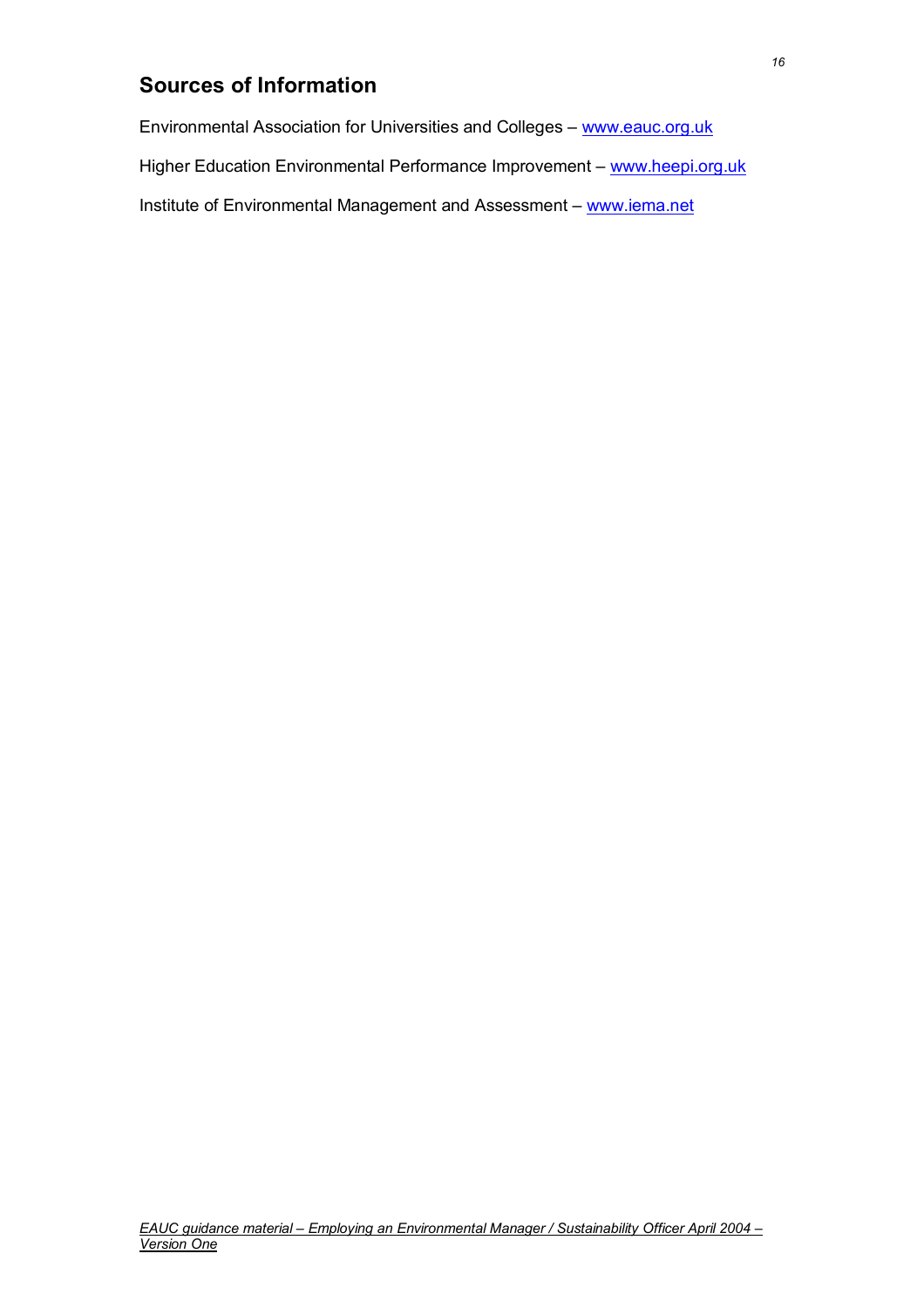### **Sources of Information**

Environmental Association for Universities and Colleges – www.eauc.org.uk

Higher Education Environmental Performance Improvement - www.heepi.org.uk

Institute of Environmental Management and Assessment – www.iema.net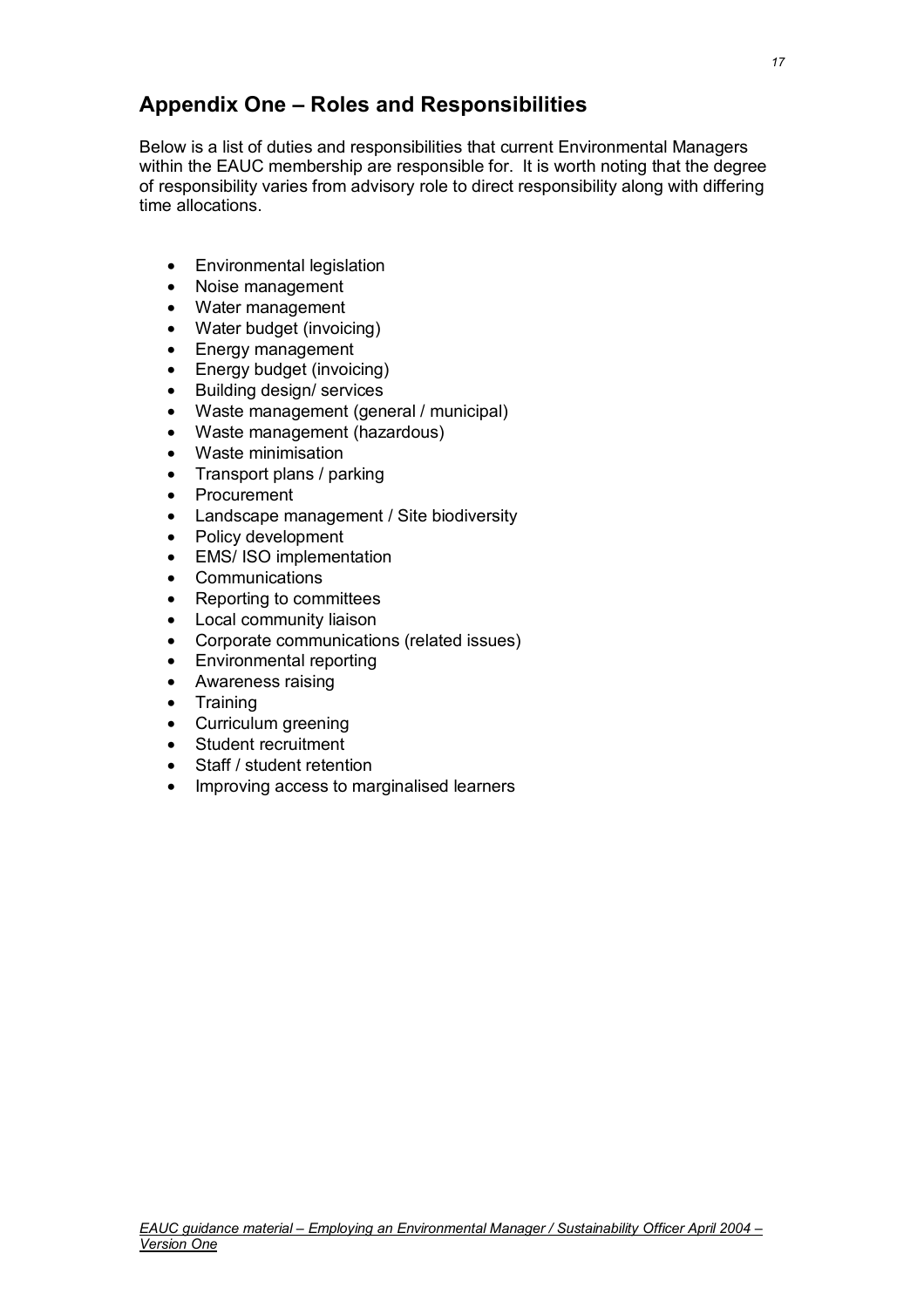### **Appendix One – Roles and Responsibilities**

Below is a list of duties and responsibilities that current Environmental Managers within the EAUC membership are responsible for. It is worth noting that the degree of responsibility varies from advisory role to direct responsibility along with differing time allocations.

- Environmental legislation
- Noise management
- Water management
- Water budget (invoicing)
- Energy management
- Energy budget (invoicing)
- Building design/ services
- Waste management (general / municipal)
- Waste management (hazardous)
- Waste minimisation
- Transport plans / parking
- Procurement
- Landscape management / Site biodiversity
- Policy development
- EMS/ ISO implementation
- Communications
- Reporting to committees
- Local community liaison
- Corporate communications (related issues)
- Environmental reporting
- Awareness raising
- Training
- Curriculum greening
- Student recruitment
- Staff / student retention
- Improving access to marginalised learners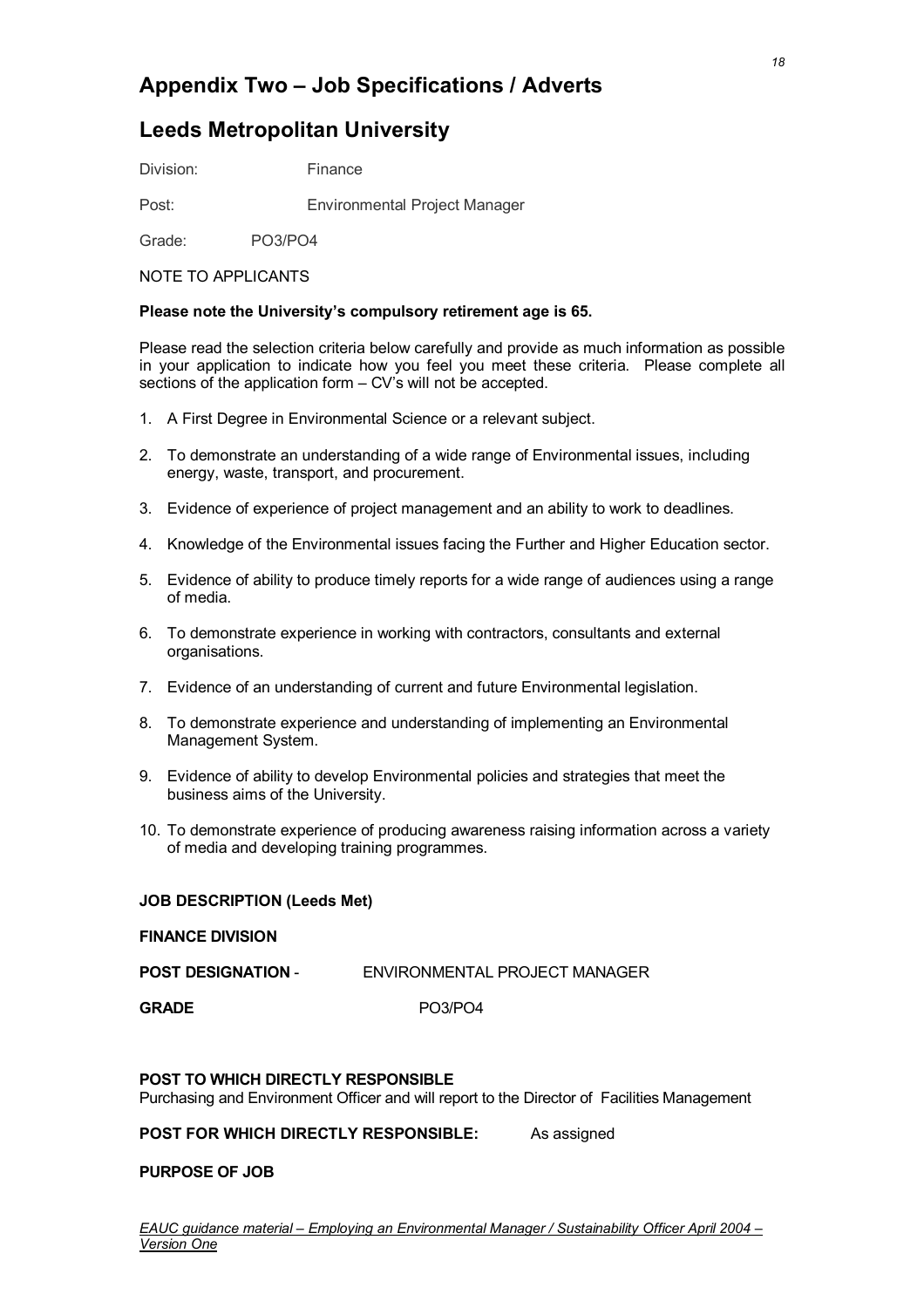### **Appendix Two – Job Specifications / Adverts**

### **Leeds Metropolitan University**

Division: Finance

Post: Environmental Project Manager

Grade: PO3/PO4

### NOTE TO APPLICANTS

### **Please note the University's compulsory retirement age is 65.**

Please read the selection criteria below carefully and provide as much information as possible in your application to indicate how you feel you meet these criteria. Please complete all sections of the application form – CV's will not be accepted.

- 1. A First Degree in Environmental Science or a relevant subject.
- 2. To demonstrate an understanding of a wide range of Environmental issues, including energy, waste, transport, and procurement.
- 3. Evidence of experience of project management and an ability to work to deadlines.
- 4. Knowledge of the Environmental issues facing the Further and Higher Education sector.
- 5. Evidence of ability to produce timely reports for a wide range of audiences using a range of media.
- 6. To demonstrate experience in working with contractors, consultants and external organisations.
- 7. Evidence of an understanding of current and future Environmental legislation.
- 8. To demonstrate experience and understanding of implementing an Environmental Management System.
- 9. Evidence of ability to develop Environmental policies and strategies that meet the business aims of the University.
- 10. To demonstrate experience of producing awareness raising information across a variety of media and developing training programmes.

### **JOB DESCRIPTION (Leeds Met)**

### **FINANCE DIVISION**

| <b>POST DESIGNATION -</b> | ENVIRONMENTAL PROJECT MANAGER |
|---------------------------|-------------------------------|
|                           |                               |

GRADE PO3/PO4

### **POST TO WHICH DIRECTLY RESPONSIBLE**

Purchasing and Environment Officer and will report to the Director of Facilities Management

### **POST FOR WHICH DIRECTLY RESPONSIBLE:** As assigned

### **PURPOSE OF JOB**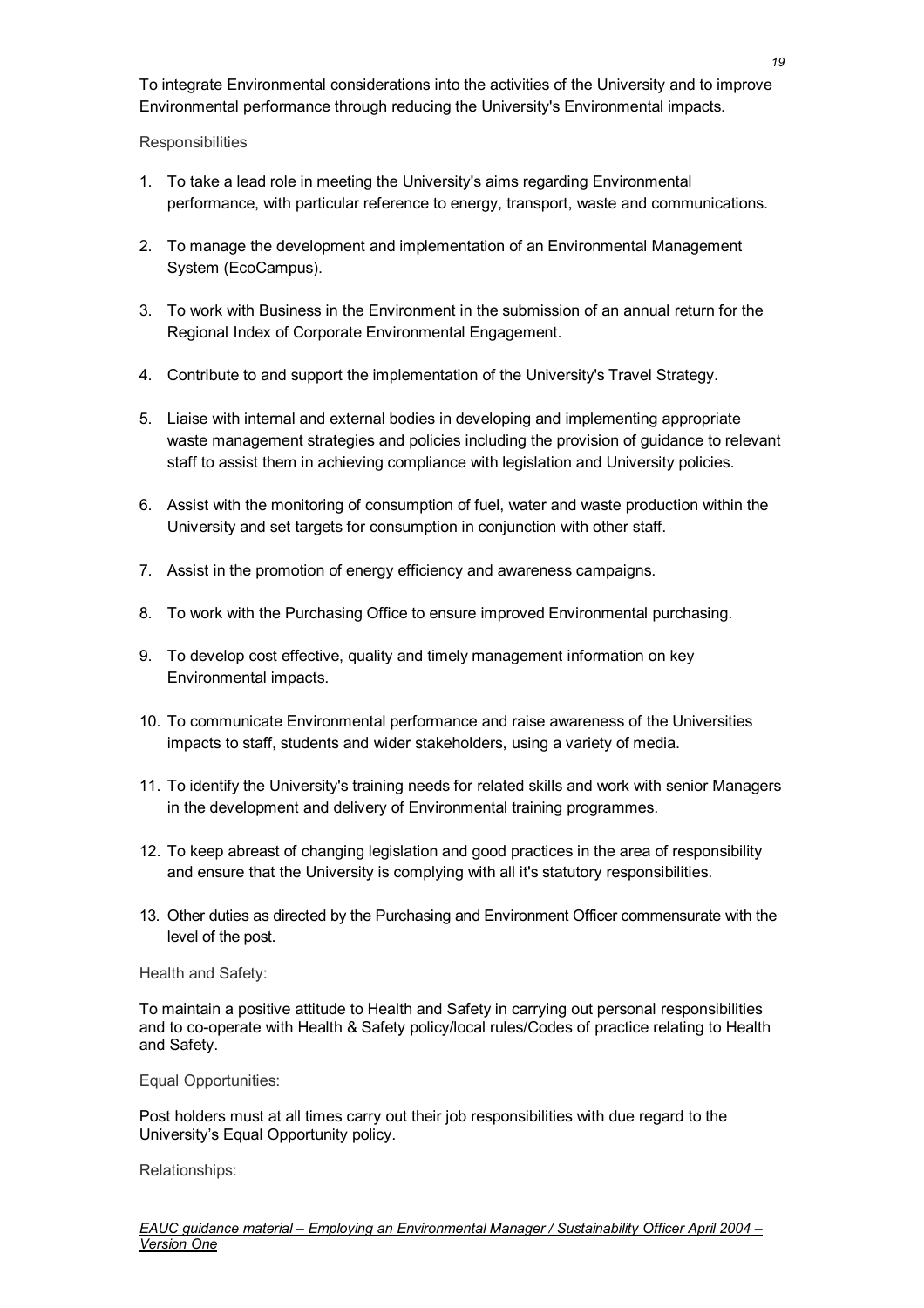To integrate Environmental considerations into the activities of the University and to improve Environmental performance through reducing the University's Environmental impacts.

#### **Responsibilities**

- 1. To take a lead role in meeting the University's aims regarding Environmental performance, with particular reference to energy, transport, waste and communications.
- 2. To manage the development and implementation of an Environmental Management System (EcoCampus).
- 3. To work with Business in the Environment in the submission of an annual return for the Regional Index of Corporate Environmental Engagement.
- 4. Contribute to and support the implementation of the University's Travel Strategy.
- 5. Liaise with internal and external bodies in developing and implementing appropriate waste management strategies and policies including the provision of guidance to relevant staff to assist them in achieving compliance with legislation and University policies.
- 6. Assist with the monitoring of consumption of fuel, water and waste production within the University and set targets for consumption in conjunction with other staff.
- 7. Assist in the promotion of energy efficiency and awareness campaigns.
- 8. To work with the Purchasing Office to ensure improved Environmental purchasing.
- 9. To develop cost effective, quality and timely management information on key Environmental impacts.
- 10. To communicate Environmental performance and raise awareness of the Universities impacts to staff, students and wider stakeholders, using a variety of media.
- 11. To identify the University's training needs for related skills and work with senior Managers in the development and delivery of Environmental training programmes.
- 12. To keep abreast of changing legislation and good practices in the area of responsibility and ensure that the University is complying with all it's statutory responsibilities.
- 13. Other duties as directed by the Purchasing and Environment Officer commensurate with the level of the post.

Health and Safety:

To maintain a positive attitude to Health and Safety in carrying out personal responsibilities and to co-operate with Health & Safety policy/local rules/Codes of practice relating to Health and Safety.

Equal Opportunities:

Post holders must at all times carry out their job responsibilities with due regard to the University's Equal Opportunity policy.

Relationships: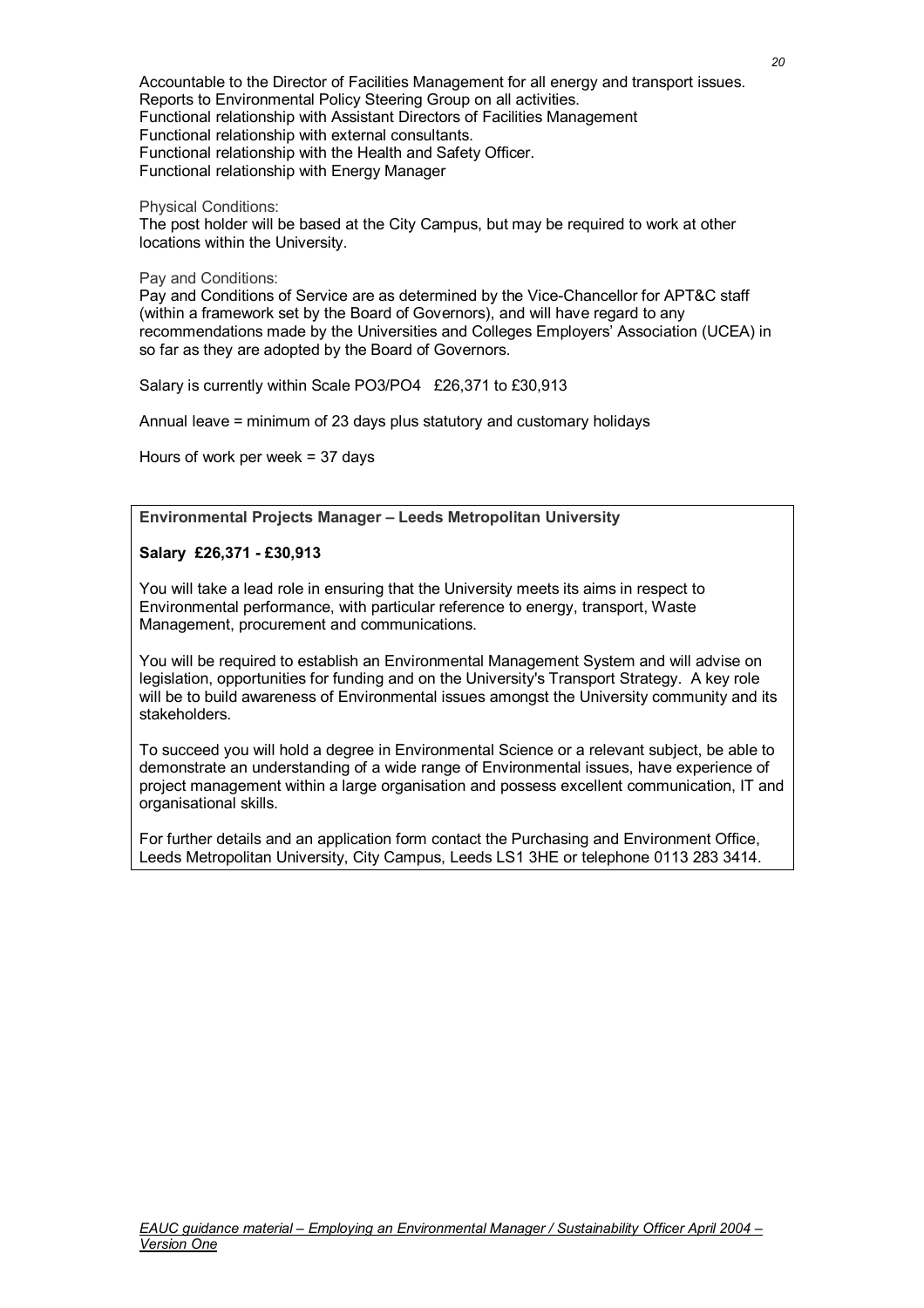Accountable to the Director of Facilities Management for all energy and transport issues. Reports to Environmental Policy Steering Group on all activities. Functional relationship with Assistant Directors of Facilities Management Functional relationship with external consultants. Functional relationship with the Health and Safety Officer. Functional relationship with Energy Manager

Physical Conditions:

The post holder will be based at the City Campus, but may be required to work at other locations within the University.

Pay and Conditions:

Pay and Conditions of Service are as determined by the Vice-Chancellor for APT&C staff (within a framework set by the Board of Governors), and will have regard to any recommendations made by the Universities and Colleges Employers' Association (UCEA) in so far as they are adopted by the Board of Governors.

Salary is currently within Scale PO3/PO4 £26,371 to £30,913

Annual leave = minimum of 23 days plus statutory and customary holidays

Hours of work per week = 37 days

**Environmental Projects Manager – Leeds Metropolitan University** 

### **Salary £26,371 - £30,913**

You will take a lead role in ensuring that the University meets its aims in respect to Environmental performance, with particular reference to energy, transport, Waste Management, procurement and communications.

You will be required to establish an Environmental Management System and will advise on legislation, opportunities for funding and on the University's Transport Strategy. A key role will be to build awareness of Environmental issues amongst the University community and its stakeholders.

To succeed you will hold a degree in Environmental Science or a relevant subject, be able to demonstrate an understanding of a wide range of Environmental issues, have experience of project management within a large organisation and possess excellent communication, IT and organisational skills.

For further details and an application form contact the Purchasing and Environment Office, Leeds Metropolitan University, City Campus, Leeds LS1 3HE or telephone 0113 283 3414.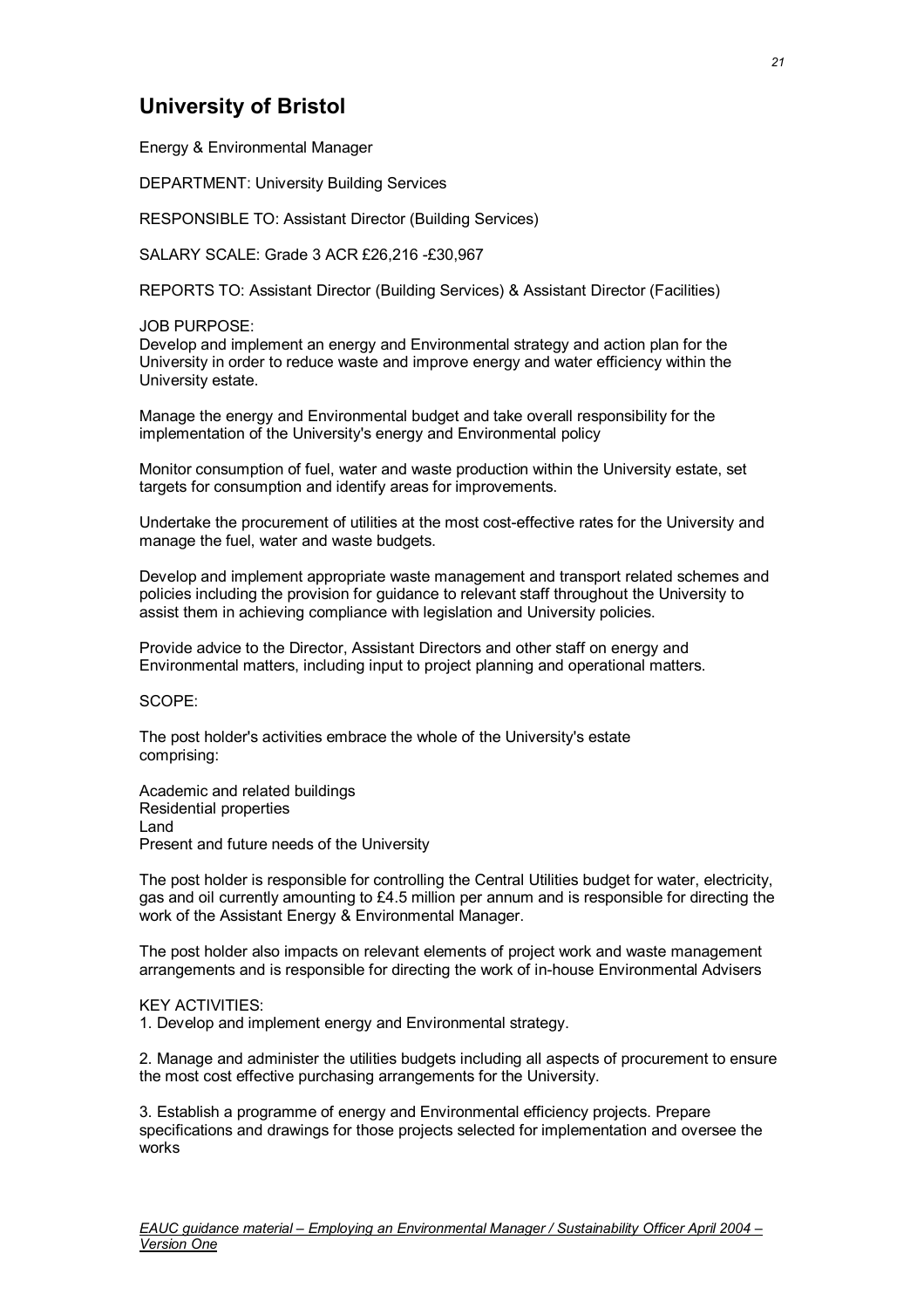### **University of Bristol**

Energy & Environmental Manager

DEPARTMENT: University Building Services

RESPONSIBLE TO: Assistant Director (Building Services)

SALARY SCALE: Grade 3 ACR £26,216 -£30,967

REPORTS TO: Assistant Director (Building Services) & Assistant Director (Facilities)

#### JOB PURPOSE:

Develop and implement an energy and Environmental strategy and action plan for the University in order to reduce waste and improve energy and water efficiency within the University estate.

Manage the energy and Environmental budget and take overall responsibility for the implementation of the University's energy and Environmental policy

Monitor consumption of fuel, water and waste production within the University estate, set targets for consumption and identify areas for improvements.

Undertake the procurement of utilities at the most cost-effective rates for the University and manage the fuel, water and waste budgets.

Develop and implement appropriate waste management and transport related schemes and policies including the provision for guidance to relevant staff throughout the University to assist them in achieving compliance with legislation and University policies.

Provide advice to the Director, Assistant Directors and other staff on energy and Environmental matters, including input to project planning and operational matters.

SCOPE:

The post holder's activities embrace the whole of the University's estate comprising:

Academic and related buildings Residential properties Land Present and future needs of the University

The post holder is responsible for controlling the Central Utilities budget for water, electricity, gas and oil currently amounting to £4.5 million per annum and is responsible for directing the work of the Assistant Energy & Environmental Manager.

The post holder also impacts on relevant elements of project work and waste management arrangements and is responsible for directing the work of in-house Environmental Advisers

#### KEY ACTIVITIES:

1. Develop and implement energy and Environmental strategy.

2. Manage and administer the utilities budgets including all aspects of procurement to ensure the most cost effective purchasing arrangements for the University.

3. Establish a programme of energy and Environmental efficiency projects. Prepare specifications and drawings for those projects selected for implementation and oversee the works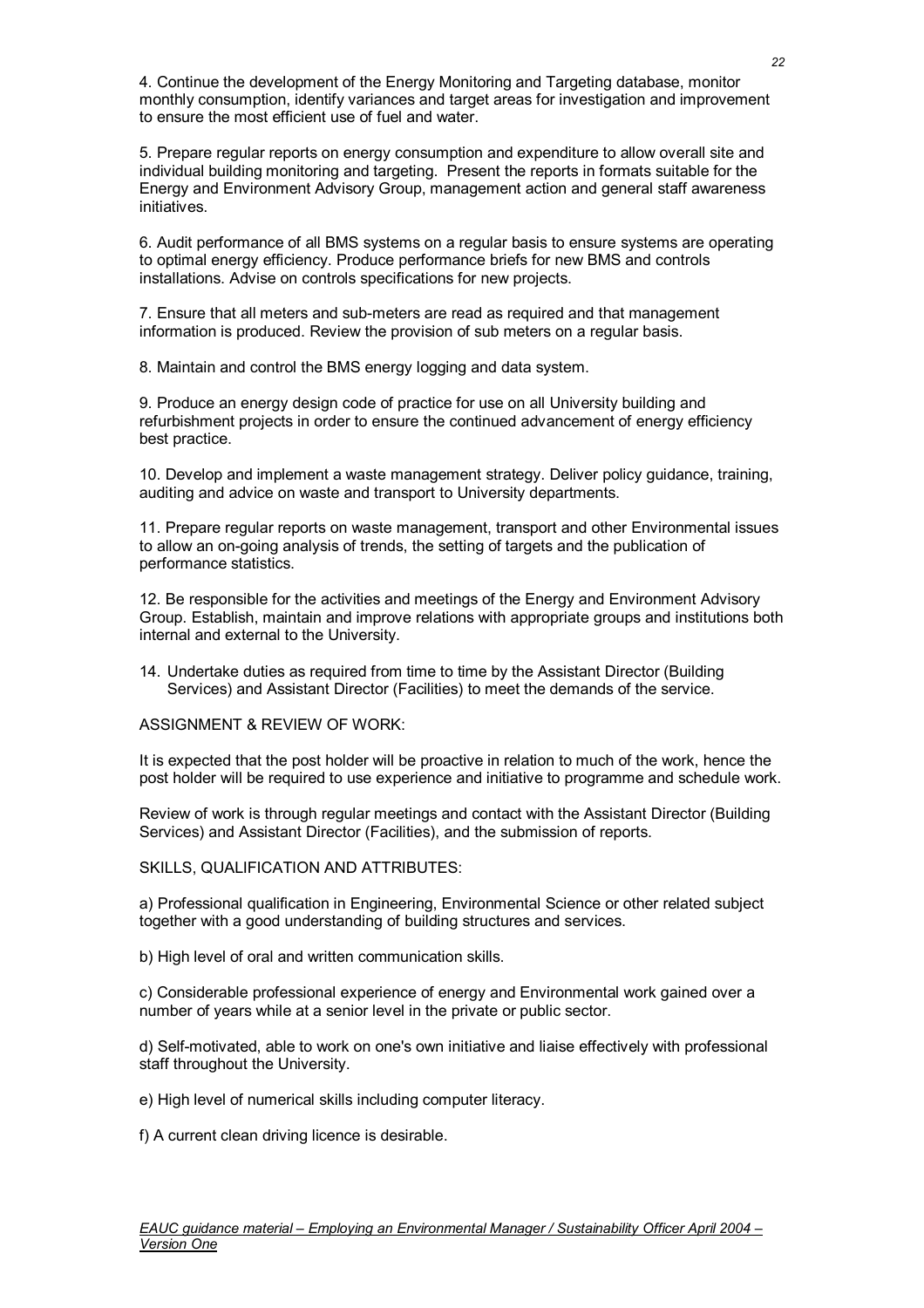4. Continue the development of the Energy Monitoring and Targeting database, monitor monthly consumption, identify variances and target areas for investigation and improvement to ensure the most efficient use of fuel and water.

5. Prepare regular reports on energy consumption and expenditure to allow overall site and individual building monitoring and targeting. Present the reports in formats suitable for the Energy and Environment Advisory Group, management action and general staff awareness initiatives.

6. Audit performance of all BMS systems on a regular basis to ensure systems are operating to optimal energy efficiency. Produce performance briefs for new BMS and controls installations. Advise on controls specifications for new projects.

7. Ensure that all meters and sub-meters are read as required and that management information is produced. Review the provision of sub meters on a regular basis.

8. Maintain and control the BMS energy logging and data system.

9. Produce an energy design code of practice for use on all University building and refurbishment projects in order to ensure the continued advancement of energy efficiency best practice.

10. Develop and implement a waste management strategy. Deliver policy guidance, training, auditing and advice on waste and transport to University departments.

11. Prepare regular reports on waste management, transport and other Environmental issues to allow an on-going analysis of trends, the setting of targets and the publication of performance statistics.

12. Be responsible for the activities and meetings of the Energy and Environment Advisory Group. Establish, maintain and improve relations with appropriate groups and institutions both internal and external to the University.

14. Undertake duties as required from time to time by the Assistant Director (Building Services) and Assistant Director (Facilities) to meet the demands of the service.

ASSIGNMENT & REVIEW OF WORK:

It is expected that the post holder will be proactive in relation to much of the work, hence the post holder will be required to use experience and initiative to programme and schedule work.

Review of work is through regular meetings and contact with the Assistant Director (Building Services) and Assistant Director (Facilities), and the submission of reports.

SKILLS, QUALIFICATION AND ATTRIBUTES:

a) Professional qualification in Engineering, Environmental Science or other related subject together with a good understanding of building structures and services.

b) High level of oral and written communication skills.

c) Considerable professional experience of energy and Environmental work gained over a number of years while at a senior level in the private or public sector.

d) Self-motivated, able to work on one's own initiative and liaise effectively with professional staff throughout the University.

e) High level of numerical skills including computer literacy.

f) A current clean driving licence is desirable.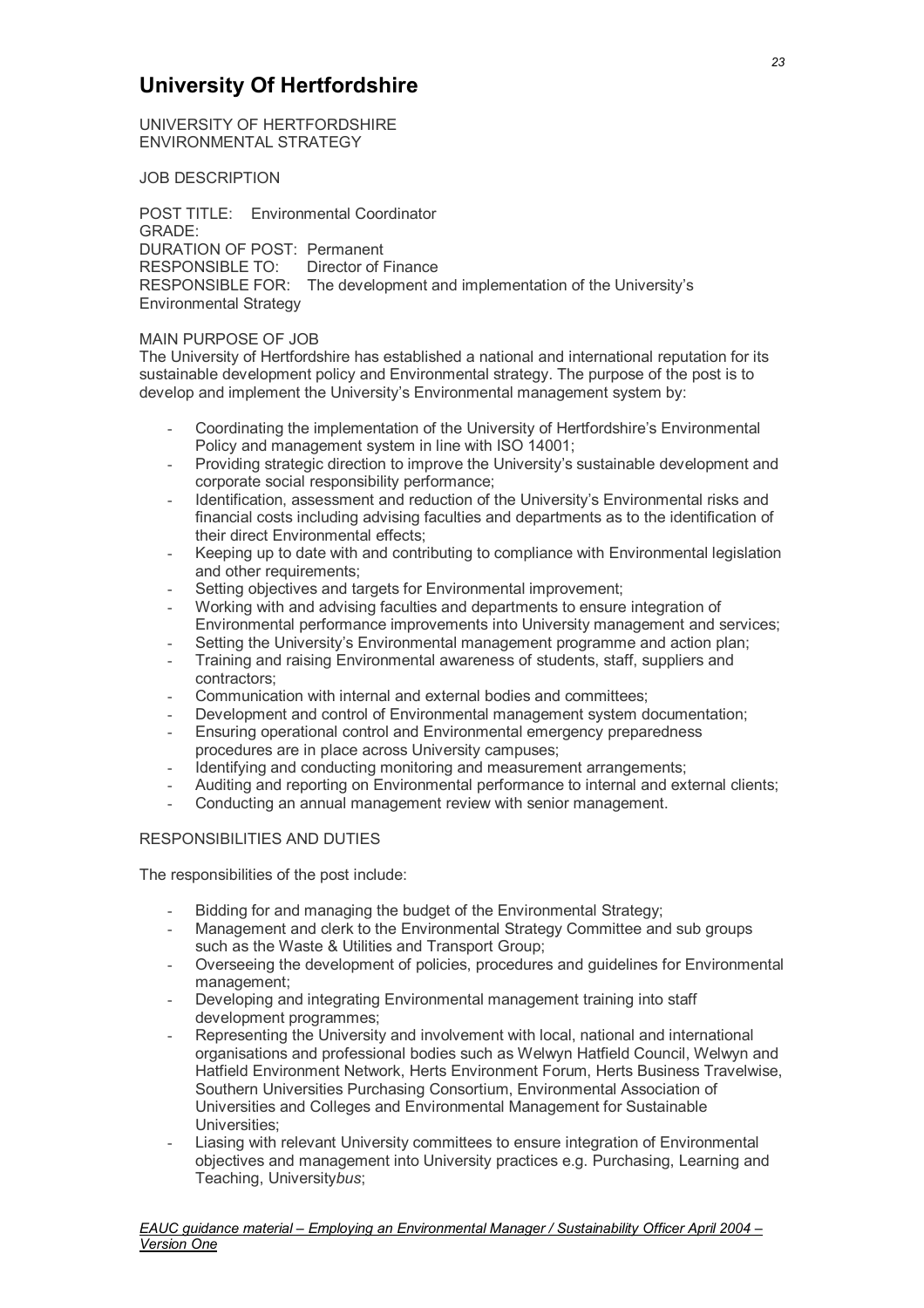### **University Of Hertfordshire**

UNIVERSITY OF HERTFORDSHIRE ENVIRONMENTAL STRATEGY

JOB DESCRIPTION

POST TITLE: Environmental Coordinator GRADE: DURATION OF POST: Permanent<br>RESPONSIBLE TO: Director of I **Director of Finance** RESPONSIBLE FOR: The development and implementation of the University's Environmental Strategy

#### MAIN PURPOSE OF JOB

The University of Hertfordshire has established a national and international reputation for its sustainable development policy and Environmental strategy. The purpose of the post is to develop and implement the University's Environmental management system by:

- Coordinating the implementation of the University of Hertfordshire's Environmental Policy and management system in line with ISO 14001;
- Providing strategic direction to improve the University's sustainable development and corporate social responsibility performance;
- Identification, assessment and reduction of the University's Environmental risks and financial costs including advising faculties and departments as to the identification of their direct Environmental effects;
- Keeping up to date with and contributing to compliance with Environmental legislation and other requirements:
- Setting objectives and targets for Environmental improvement:
- Working with and advising faculties and departments to ensure integration of Environmental performance improvements into University management and services;
- Setting the University's Environmental management programme and action plan;
- Training and raising Environmental awareness of students, staff, suppliers and contractors;
- Communication with internal and external bodies and committees;
- Development and control of Environmental management system documentation;
- Ensuring operational control and Environmental emergency preparedness procedures are in place across University campuses;
- Identifying and conducting monitoring and measurement arrangements;
- Auditing and reporting on Environmental performance to internal and external clients;
- Conducting an annual management review with senior management.

### RESPONSIBILITIES AND DUTIES

The responsibilities of the post include:

- Bidding for and managing the budget of the Environmental Strategy;
- Management and clerk to the Environmental Strategy Committee and sub groups such as the Waste & Utilities and Transport Group;
- Overseeing the development of policies, procedures and guidelines for Environmental management;
- Developing and integrating Environmental management training into staff development programmes;
- Representing the University and involvement with local, national and international organisations and professional bodies such as Welwyn Hatfield Council, Welwyn and Hatfield Environment Network, Herts Environment Forum, Herts Business Travelwise, Southern Universities Purchasing Consortium, Environmental Association of Universities and Colleges and Environmental Management for Sustainable Universities;
- Liasing with relevant University committees to ensure integration of Environmental objectives and management into University practices e.g. Purchasing, Learning and Teaching, University*bus*;

*23*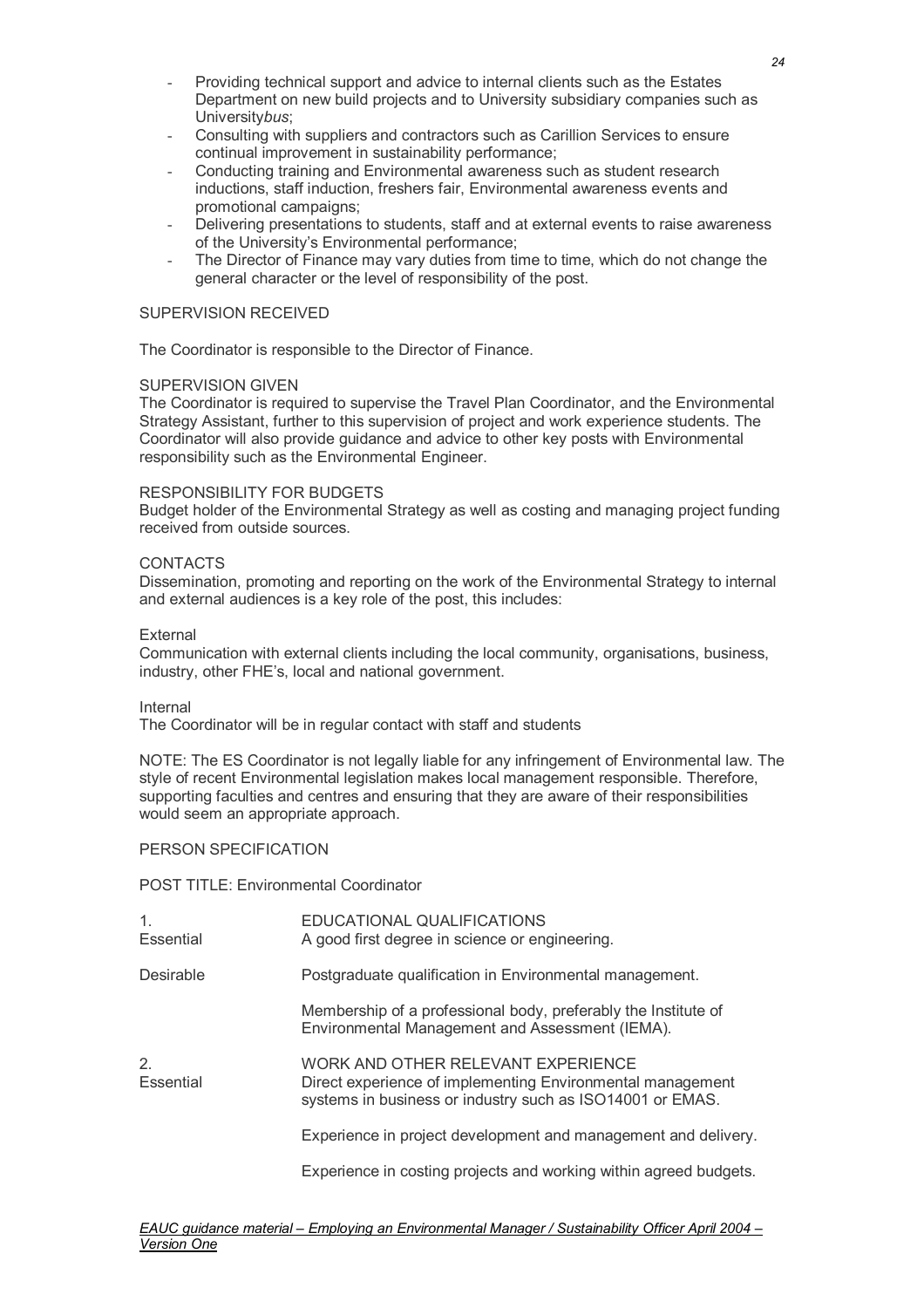- Providing technical support and advice to internal clients such as the Estates Department on new build projects and to University subsidiary companies such as University*bus*;
- Consulting with suppliers and contractors such as Carillion Services to ensure continual improvement in sustainability performance;
- Conducting training and Environmental awareness such as student research inductions, staff induction, freshers fair, Environmental awareness events and promotional campaigns;
- Delivering presentations to students, staff and at external events to raise awareness of the University's Environmental performance;
- The Director of Finance may vary duties from time to time, which do not change the general character or the level of responsibility of the post.

#### SUPERVISION RECEIVED

The Coordinator is responsible to the Director of Finance.

#### SUPERVISION GIVEN

The Coordinator is required to supervise the Travel Plan Coordinator, and the Environmental Strategy Assistant, further to this supervision of project and work experience students. The Coordinator will also provide guidance and advice to other key posts with Environmental responsibility such as the Environmental Engineer.

#### RESPONSIBILITY FOR BUDGETS

Budget holder of the Environmental Strategy as well as costing and managing project funding received from outside sources.

#### CONTACTS

Dissemination, promoting and reporting on the work of the Environmental Strategy to internal and external audiences is a key role of the post, this includes:

#### External

Communication with external clients including the local community, organisations, business, industry, other FHE's, local and national government.

Internal

The Coordinator will be in regular contact with staff and students

NOTE: The ES Coordinator is not legally liable for any infringement of Environmental law. The style of recent Environmental legislation makes local management responsible. Therefore, supporting faculties and centres and ensuring that they are aware of their responsibilities would seem an appropriate approach.

### PERSON SPECIFICATION

POST TITLE: Environmental Coordinator

| $\mathbf 1$ .<br>Essential | EDUCATIONAL QUALIFICATIONS<br>A good first degree in science or engineering.                                                                                  |
|----------------------------|---------------------------------------------------------------------------------------------------------------------------------------------------------------|
| Desirable                  | Postgraduate qualification in Environmental management.                                                                                                       |
|                            | Membership of a professional body, preferably the Institute of<br>Environmental Management and Assessment (IEMA).                                             |
| 2.<br>Essential            | WORK AND OTHER RELEVANT EXPERIENCE<br>Direct experience of implementing Environmental management<br>systems in business or industry such as ISO14001 or EMAS. |
|                            | Experience in project development and management and delivery.                                                                                                |
|                            | Experience in costing projects and working within agreed budgets.                                                                                             |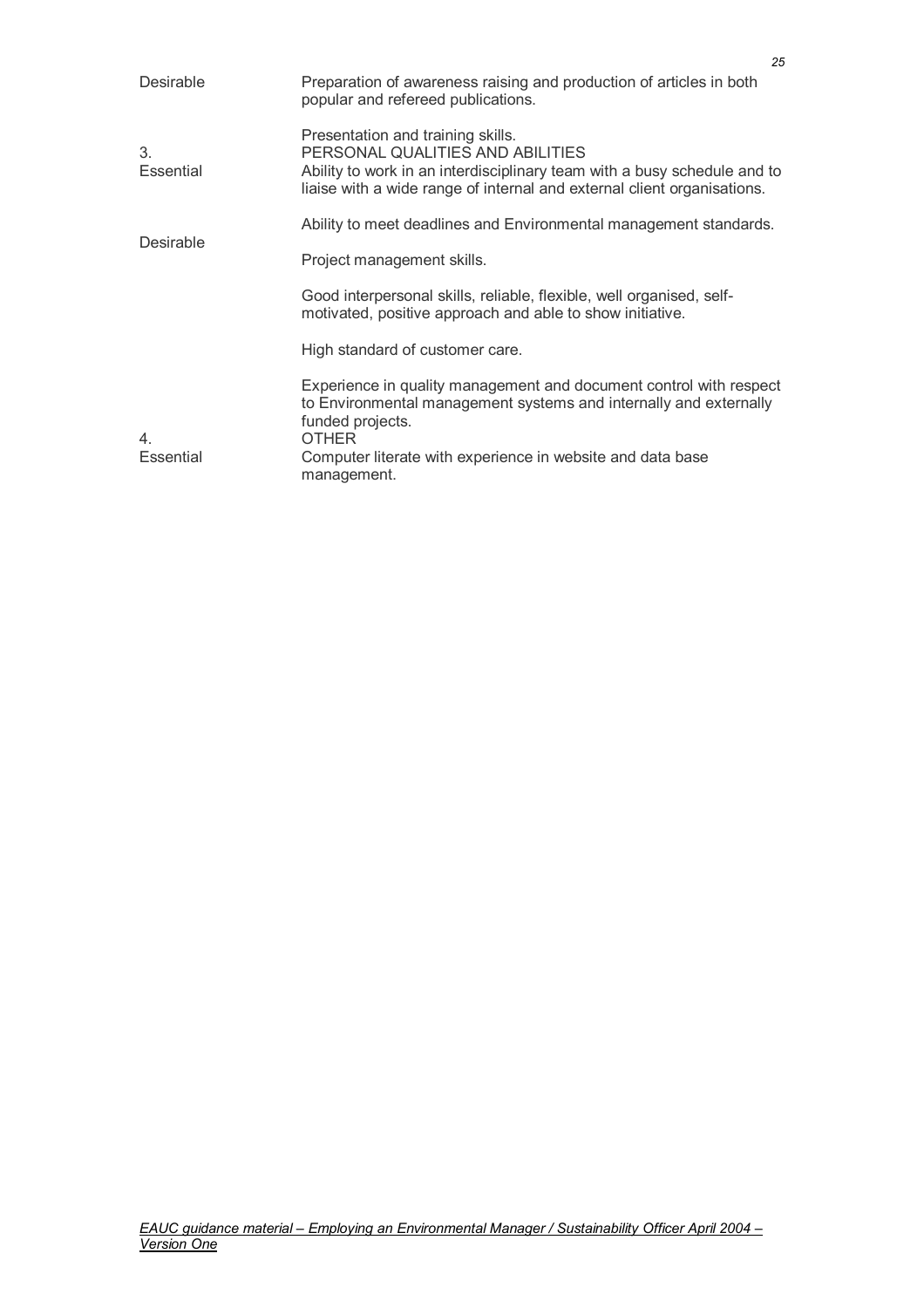| Desirable       | Preparation of awareness raising and production of articles in both<br>popular and refereed publications.                                                                                                                    |
|-----------------|------------------------------------------------------------------------------------------------------------------------------------------------------------------------------------------------------------------------------|
| 3.<br>Essential | Presentation and training skills.<br>PERSONAL QUALITIES AND ABILITIES<br>Ability to work in an interdisciplinary team with a busy schedule and to<br>liaise with a wide range of internal and external client organisations. |
| Desirable       | Ability to meet deadlines and Environmental management standards.                                                                                                                                                            |
|                 | Project management skills.                                                                                                                                                                                                   |
|                 | Good interpersonal skills, reliable, flexible, well organised, self-<br>motivated, positive approach and able to show initiative.                                                                                            |
|                 | High standard of customer care.                                                                                                                                                                                              |
| 4.              | Experience in quality management and document control with respect<br>to Environmental management systems and internally and externally<br>funded projects.<br><b>OTHER</b>                                                  |
| Essential       | Computer literate with experience in website and data base<br>management.                                                                                                                                                    |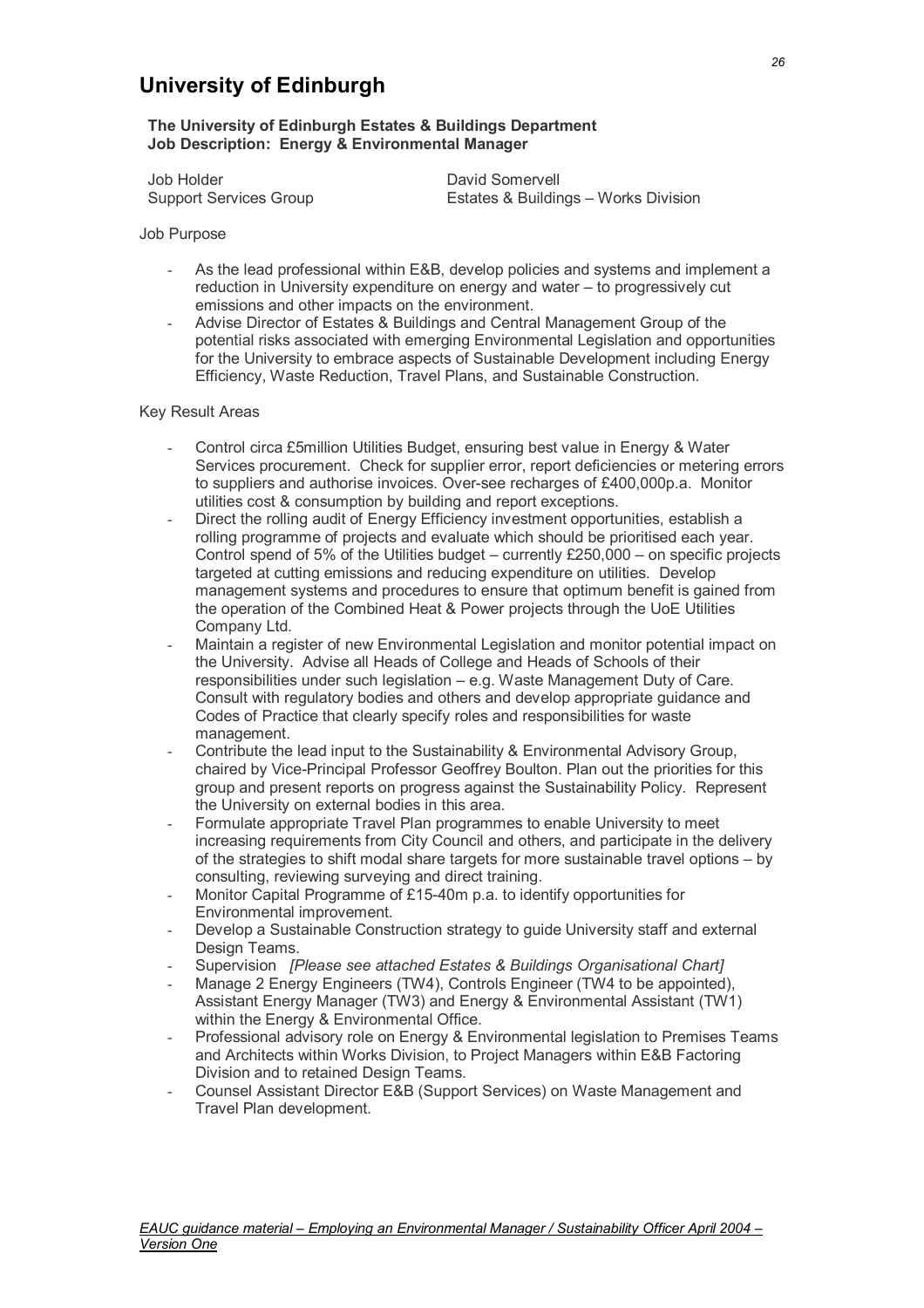### **University of Edinburgh**

#### **The University of Edinburgh Estates & Buildings Department Job Description: Energy & Environmental Manager**

Job Holder **David Somervell** 

Support Services Group Estates & Buildings – Works Division

Job Purpose

- As the lead professional within E&B, develop policies and systems and implement a reduction in University expenditure on energy and water – to progressively cut emissions and other impacts on the environment.
- Advise Director of Estates & Buildings and Central Management Group of the potential risks associated with emerging Environmental Legislation and opportunities for the University to embrace aspects of Sustainable Development including Energy Efficiency, Waste Reduction, Travel Plans, and Sustainable Construction.

#### Key Result Areas

- Control circa £5million Utilities Budget, ensuring best value in Energy & Water Services procurement. Check for supplier error, report deficiencies or metering errors to suppliers and authorise invoices. Over-see recharges of £400,000p.a. Monitor utilities cost & consumption by building and report exceptions.
- Direct the rolling audit of Energy Efficiency investment opportunities, establish a rolling programme of projects and evaluate which should be prioritised each year. Control spend of 5% of the Utilities budget – currently £250,000 – on specific projects targeted at cutting emissions and reducing expenditure on utilities. Develop management systems and procedures to ensure that optimum benefit is gained from the operation of the Combined Heat & Power projects through the UoE Utilities Company Ltd.
- Maintain a register of new Environmental Legislation and monitor potential impact on the University. Advise all Heads of College and Heads of Schools of their responsibilities under such legislation – e.g. Waste Management Duty of Care. Consult with regulatory bodies and others and develop appropriate guidance and Codes of Practice that clearly specify roles and responsibilities for waste management.
- Contribute the lead input to the Sustainability & Environmental Advisory Group, chaired by Vice-Principal Professor Geoffrey Boulton. Plan out the priorities for this group and present reports on progress against the Sustainability Policy. Represent the University on external bodies in this area.
- Formulate appropriate Travel Plan programmes to enable University to meet increasing requirements from City Council and others, and participate in the delivery of the strategies to shift modal share targets for more sustainable travel options – by consulting, reviewing surveying and direct training.
- Monitor Capital Programme of £15-40m p.a. to identify opportunities for Environmental improvement.
- Develop a Sustainable Construction strategy to guide University staff and external Design Teams.
- Supervision *[Please see attached Estates & Buildings Organisational Chart]*
- Manage 2 Energy Engineers (TW4), Controls Engineer (TW4 to be appointed), Assistant Energy Manager (TW3) and Energy & Environmental Assistant (TW1) within the Energy & Environmental Office.
- Professional advisory role on Energy & Environmental legislation to Premises Teams and Architects within Works Division, to Project Managers within E&B Factoring Division and to retained Design Teams.
- Counsel Assistant Director E&B (Support Services) on Waste Management and Travel Plan development.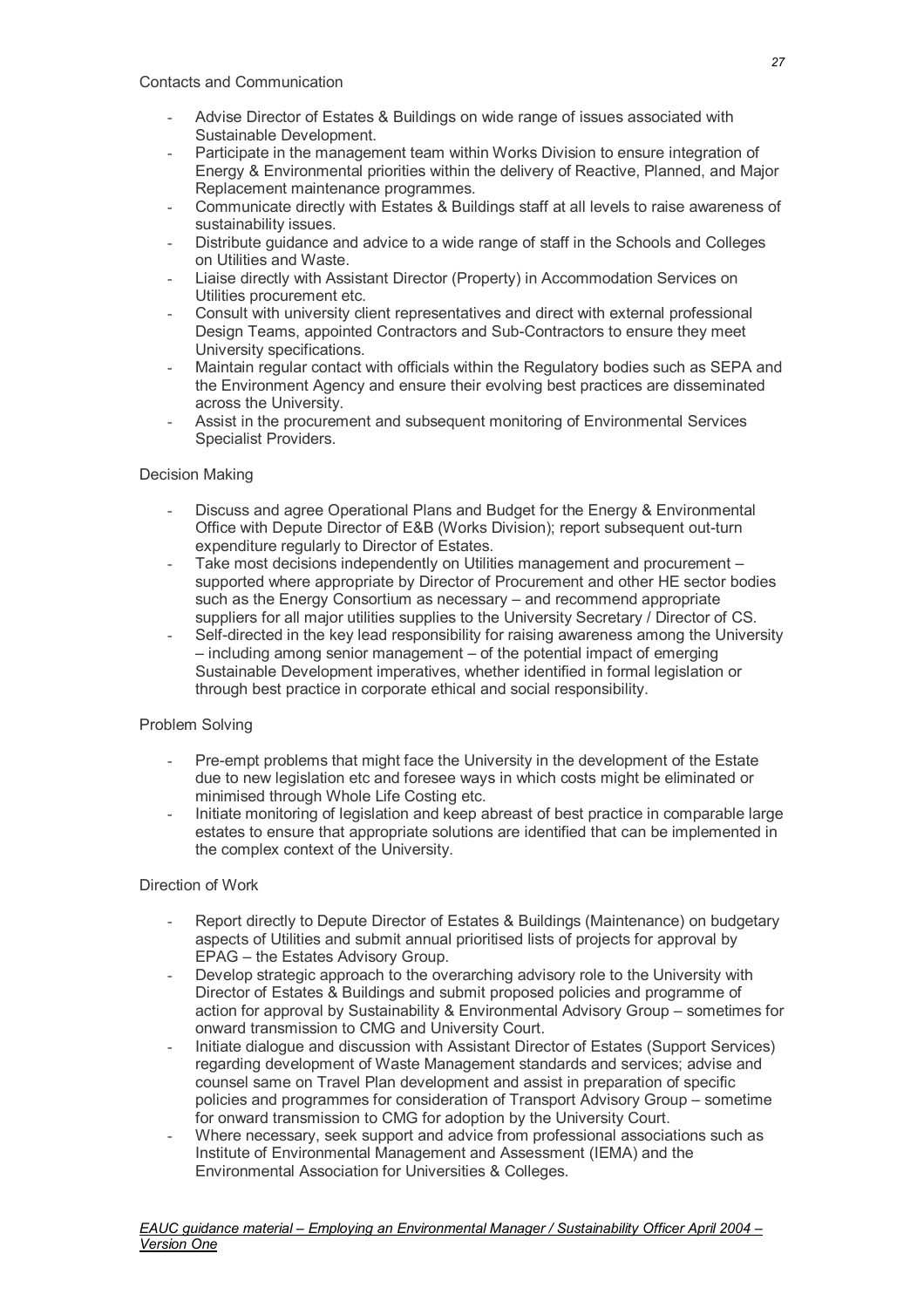- Advise Director of Estates & Buildings on wide range of issues associated with Sustainable Development.
- Participate in the management team within Works Division to ensure integration of Energy & Environmental priorities within the delivery of Reactive, Planned, and Major Replacement maintenance programmes.
- Communicate directly with Estates & Buildings staff at all levels to raise awareness of sustainability issues.
- Distribute guidance and advice to a wide range of staff in the Schools and Colleges on Utilities and Waste.
- Liaise directly with Assistant Director (Property) in Accommodation Services on Utilities procurement etc.
- Consult with university client representatives and direct with external professional Design Teams, appointed Contractors and Sub-Contractors to ensure they meet University specifications.
- Maintain regular contact with officials within the Regulatory bodies such as SEPA and the Environment Agency and ensure their evolving best practices are disseminated across the University.
- Assist in the procurement and subsequent monitoring of Environmental Services Specialist Providers.

#### Decision Making

- Discuss and agree Operational Plans and Budget for the Energy & Environmental Office with Depute Director of E&B (Works Division); report subsequent out-turn expenditure regularly to Director of Estates.
- Take most decisions independently on Utilities management and procurement supported where appropriate by Director of Procurement and other HE sector bodies such as the Energy Consortium as necessary – and recommend appropriate suppliers for all major utilities supplies to the University Secretary / Director of CS.
- Self-directed in the key lead responsibility for raising awareness among the University – including among senior management – of the potential impact of emerging Sustainable Development imperatives, whether identified in formal legislation or through best practice in corporate ethical and social responsibility.

#### Problem Solving

- Pre-empt problems that might face the University in the development of the Estate due to new legislation etc and foresee ways in which costs might be eliminated or minimised through Whole Life Costing etc.
- Initiate monitoring of legislation and keep abreast of best practice in comparable large estates to ensure that appropriate solutions are identified that can be implemented in the complex context of the University.

#### Direction of Work

- Report directly to Depute Director of Estates & Buildings (Maintenance) on budgetary aspects of Utilities and submit annual prioritised lists of projects for approval by EPAG – the Estates Advisory Group.
- Develop strategic approach to the overarching advisory role to the University with Director of Estates & Buildings and submit proposed policies and programme of action for approval by Sustainability & Environmental Advisory Group – sometimes for onward transmission to CMG and University Court.
- Initiate dialogue and discussion with Assistant Director of Estates (Support Services) regarding development of Waste Management standards and services; advise and counsel same on Travel Plan development and assist in preparation of specific policies and programmes for consideration of Transport Advisory Group – sometime for onward transmission to CMG for adoption by the University Court.
- Where necessary, seek support and advice from professional associations such as Institute of Environmental Management and Assessment (IEMA) and the Environmental Association for Universities & Colleges.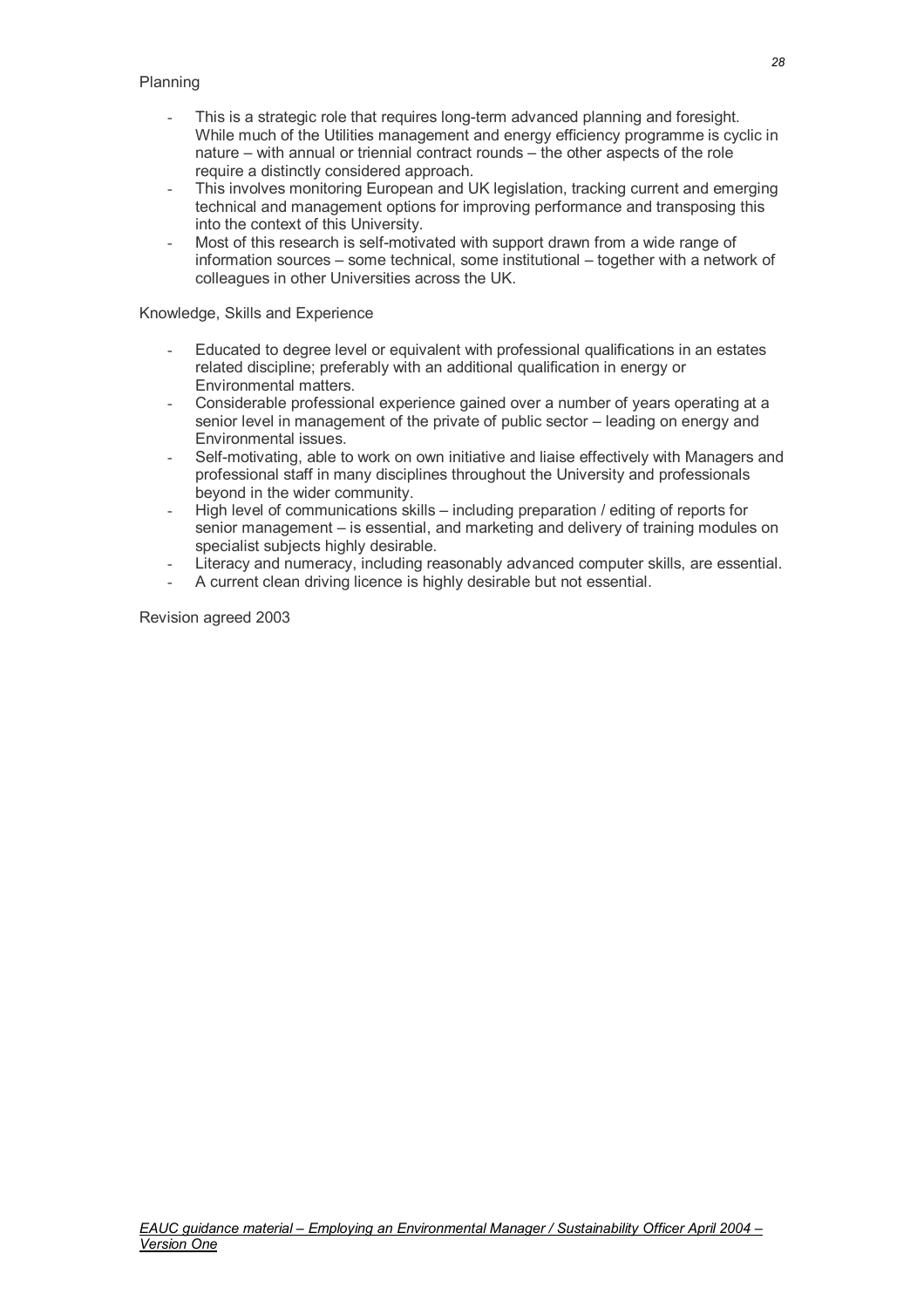- This is a strategic role that requires long-term advanced planning and foresight. While much of the Utilities management and energy efficiency programme is cyclic in nature – with annual or triennial contract rounds – the other aspects of the role require a distinctly considered approach.
- This involves monitoring European and UK legislation, tracking current and emerging technical and management options for improving performance and transposing this into the context of this University.
- Most of this research is self-motivated with support drawn from a wide range of information sources – some technical, some institutional – together with a network of colleagues in other Universities across the UK.

#### Knowledge, Skills and Experience

- Educated to degree level or equivalent with professional qualifications in an estates related discipline; preferably with an additional qualification in energy or Environmental matters.
- Considerable professional experience gained over a number of years operating at a senior level in management of the private of public sector – leading on energy and Environmental issues.
- Self-motivating, able to work on own initiative and liaise effectively with Managers and professional staff in many disciplines throughout the University and professionals beyond in the wider community.
- High level of communications skills including preparation / editing of reports for senior management – is essential, and marketing and delivery of training modules on specialist subjects highly desirable.
- Literacy and numeracy, including reasonably advanced computer skills, are essential.
- A current clean driving licence is highly desirable but not essential.

Revision agreed 2003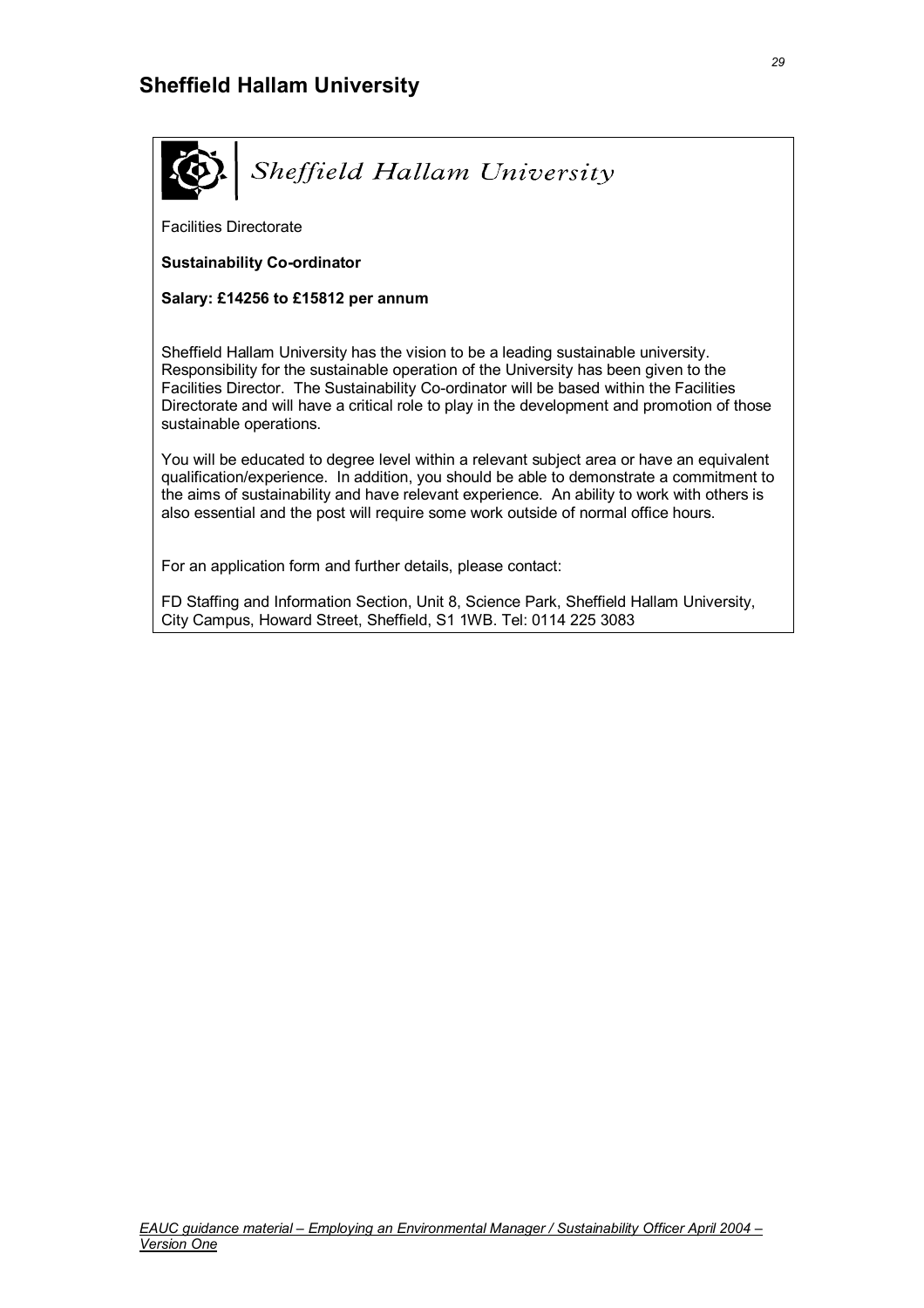

Facilities Directorate

**Sustainability Co-ordinator** 

**Salary: £14256 to £15812 per annum** 

Sheffield Hallam University has the vision to be a leading sustainable university. Responsibility for the sustainable operation of the University has been given to the Facilities Director. The Sustainability Co-ordinator will be based within the Facilities Directorate and will have a critical role to play in the development and promotion of those sustainable operations.

You will be educated to degree level within a relevant subject area or have an equivalent qualification/experience. In addition, you should be able to demonstrate a commitment to the aims of sustainability and have relevant experience. An ability to work with others is also essential and the post will require some work outside of normal office hours.

For an application form and further details, please contact:

FD Staffing and Information Section, Unit 8, Science Park, Sheffield Hallam University, City Campus, Howard Street, Sheffield, S1 1WB. Tel: 0114 225 3083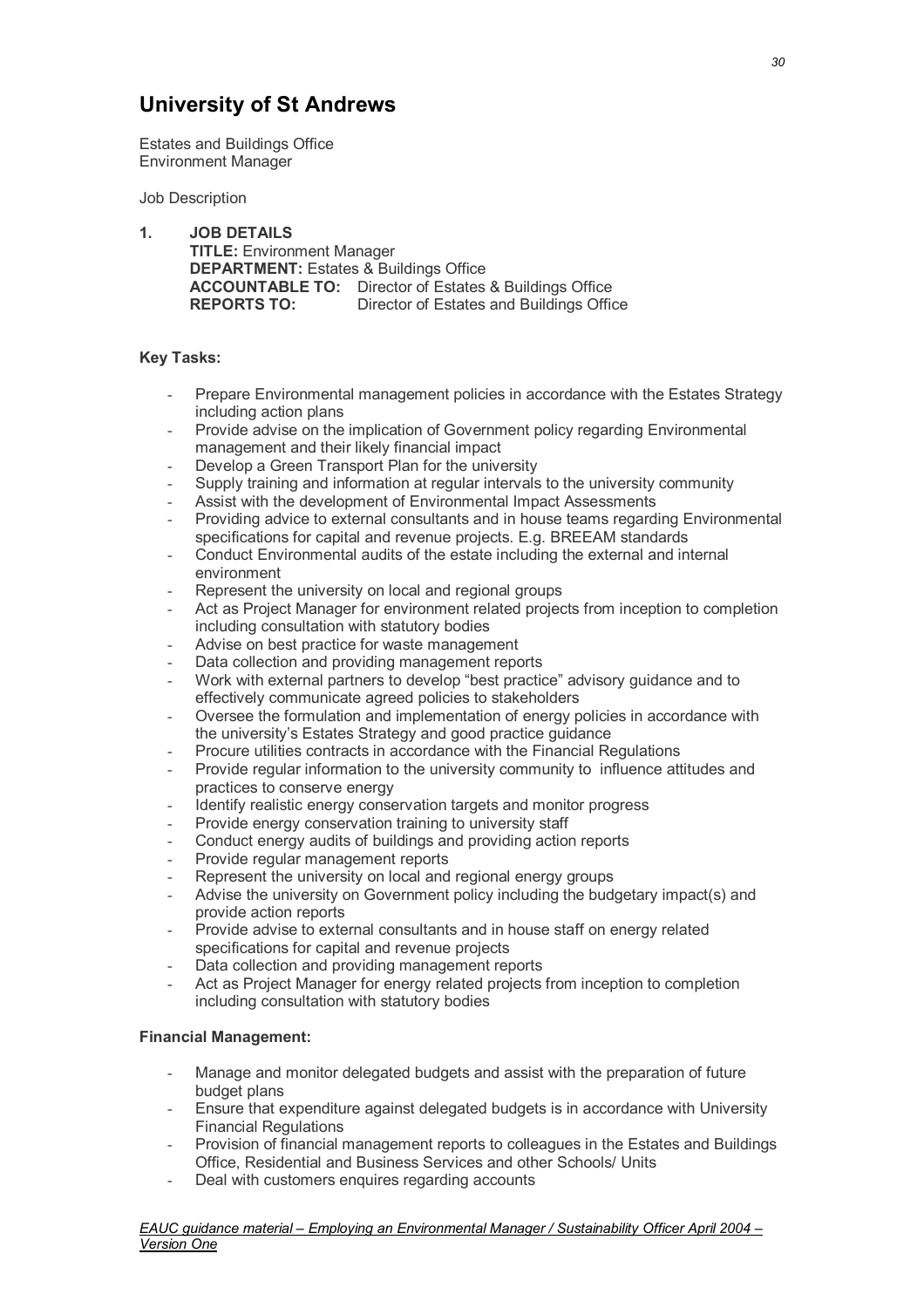### **University of St Andrews**

Estates and Buildings Office Environment Manager

Job Description

**1. JOB DETAILS TITLE:** Environment Manager  **DEPARTMENT:** Estates & Buildings Office  **ACCOUNTABLE TO:** Director of Estates & Buildings Office **REPORTS TO:** Director of Estates and Buildings Office

### **Key Tasks:**

- Prepare Environmental management policies in accordance with the Estates Strategy including action plans
- Provide advise on the implication of Government policy regarding Environmental management and their likely financial impact
- Develop a Green Transport Plan for the university
- Supply training and information at regular intervals to the university community
- Assist with the development of Environmental Impact Assessments
- Providing advice to external consultants and in house teams regarding Environmental specifications for capital and revenue projects. E.g. BREEAM standards
- Conduct Environmental audits of the estate including the external and internal environment
- Represent the university on local and regional groups
- Act as Project Manager for environment related projects from inception to completion including consultation with statutory bodies
- Advise on best practice for waste management
- Data collection and providing management reports
- Work with external partners to develop "best practice" advisory guidance and to effectively communicate agreed policies to stakeholders
- Oversee the formulation and implementation of energy policies in accordance with the university's Estates Strategy and good practice guidance
- Procure utilities contracts in accordance with the Financial Regulations
- Provide regular information to the university community to influence attitudes and practices to conserve energy
- Identify realistic energy conservation targets and monitor progress
- Provide energy conservation training to university staff
- Conduct energy audits of buildings and providing action reports
- Provide regular management reports
- Represent the university on local and regional energy groups
- Advise the university on Government policy including the budgetary impact(s) and provide action reports
- Provide advise to external consultants and in house staff on energy related specifications for capital and revenue projects
- Data collection and providing management reports
- Act as Project Manager for energy related projects from inception to completion including consultation with statutory bodies

### **Financial Management:**

- Manage and monitor delegated budgets and assist with the preparation of future budget plans
- Ensure that expenditure against delegated budgets is in accordance with University Financial Regulations
- Provision of financial management reports to colleagues in the Estates and Buildings Office, Residential and Business Services and other Schools/ Units
- Deal with customers enquires regarding accounts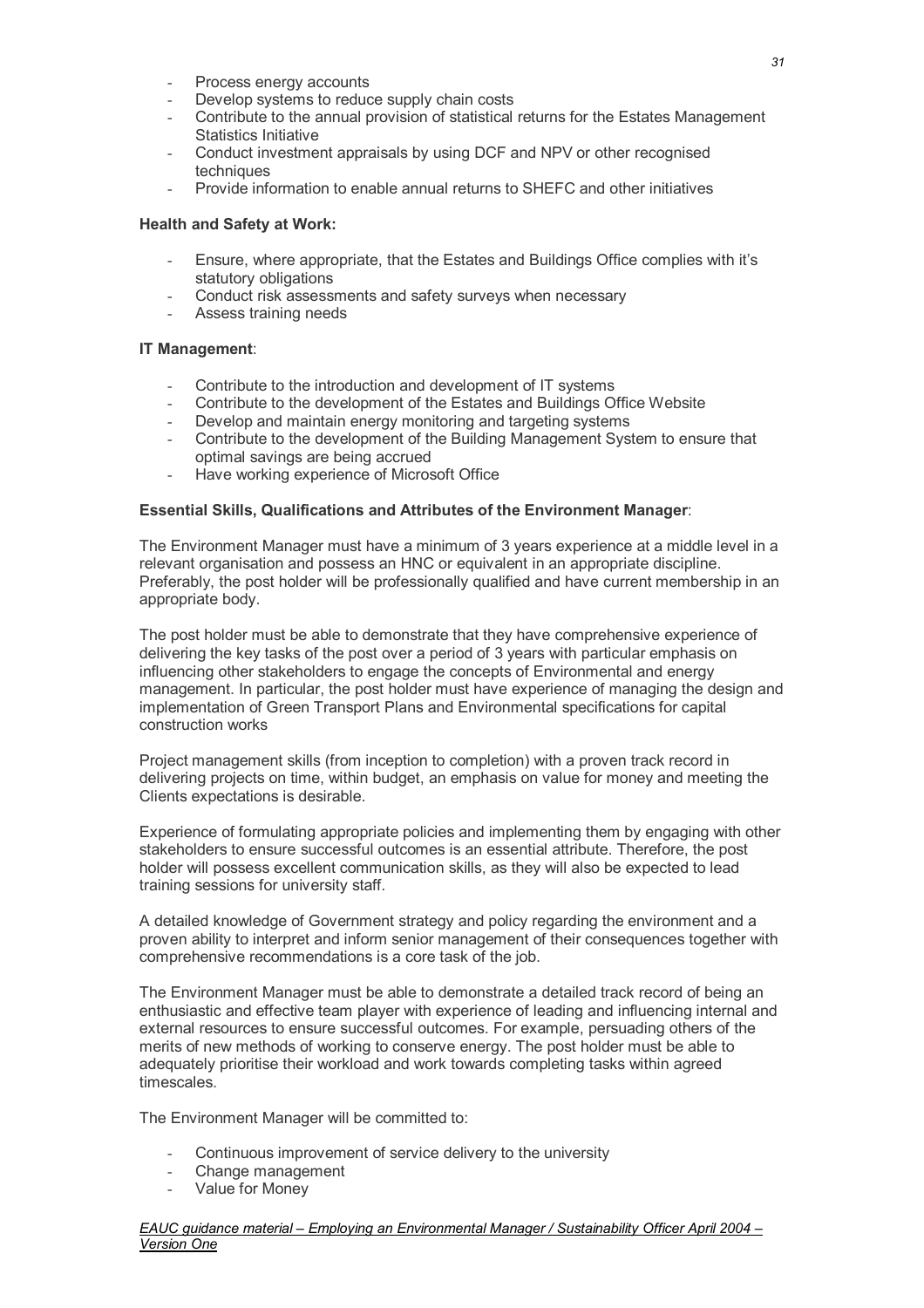- Process energy accounts
- Develop systems to reduce supply chain costs
- Contribute to the annual provision of statistical returns for the Estates Management Statistics Initiative
- Conduct investment appraisals by using DCF and NPV or other recognised techniques
- Provide information to enable annual returns to SHEFC and other initiatives

### **Health and Safety at Work:**

- Ensure, where appropriate, that the Estates and Buildings Office complies with it's statutory obligations
- Conduct risk assessments and safety surveys when necessary
- Conduct risk assessme<br>- Assess training needs

#### **IT Management**:

- Contribute to the introduction and development of IT systems
- Contribute to the development of the Estates and Buildings Office Website
- Develop and maintain energy monitoring and targeting systems
- Contribute to the development of the Building Management System to ensure that optimal savings are being accrued
- Have working experience of Microsoft Office

#### **Essential Skills, Qualifications and Attributes of the Environment Manager**:

The Environment Manager must have a minimum of 3 years experience at a middle level in a relevant organisation and possess an HNC or equivalent in an appropriate discipline. Preferably, the post holder will be professionally qualified and have current membership in an appropriate body.

The post holder must be able to demonstrate that they have comprehensive experience of delivering the key tasks of the post over a period of 3 years with particular emphasis on influencing other stakeholders to engage the concepts of Environmental and energy management. In particular, the post holder must have experience of managing the design and implementation of Green Transport Plans and Environmental specifications for capital construction works

Project management skills (from inception to completion) with a proven track record in delivering projects on time, within budget, an emphasis on value for money and meeting the Clients expectations is desirable.

Experience of formulating appropriate policies and implementing them by engaging with other stakeholders to ensure successful outcomes is an essential attribute. Therefore, the post holder will possess excellent communication skills, as they will also be expected to lead training sessions for university staff.

A detailed knowledge of Government strategy and policy regarding the environment and a proven ability to interpret and inform senior management of their consequences together with comprehensive recommendations is a core task of the job.

The Environment Manager must be able to demonstrate a detailed track record of being an enthusiastic and effective team player with experience of leading and influencing internal and external resources to ensure successful outcomes. For example, persuading others of the merits of new methods of working to conserve energy. The post holder must be able to adequately prioritise their workload and work towards completing tasks within agreed timescales.

The Environment Manager will be committed to:

- Continuous improvement of service delivery to the university
- Change management
- Value for Money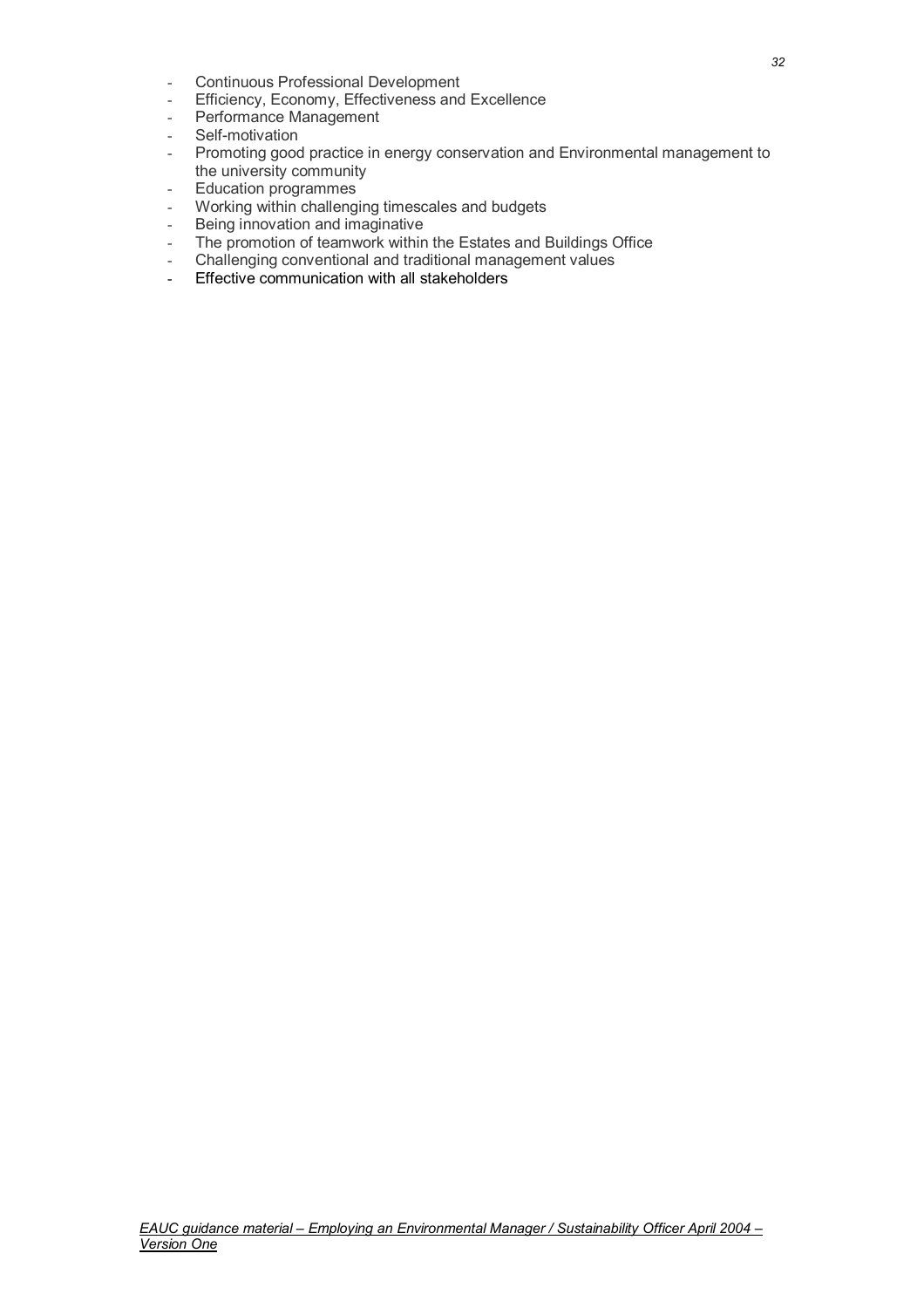- Continuous Professional Development
- Efficiency, Economy, Effectiveness and Excellence
- Performance Management
- Self-motivation
- Promoting good practice in energy conservation and Environmental management to the university community
- Education programmes
- Working within challenging timescales and budgets
- Being innovation and imaginative
- The promotion of teamwork within the Estates and Buildings Office
- Challenging conventional and traditional management values
- Effective communication with all stakeholders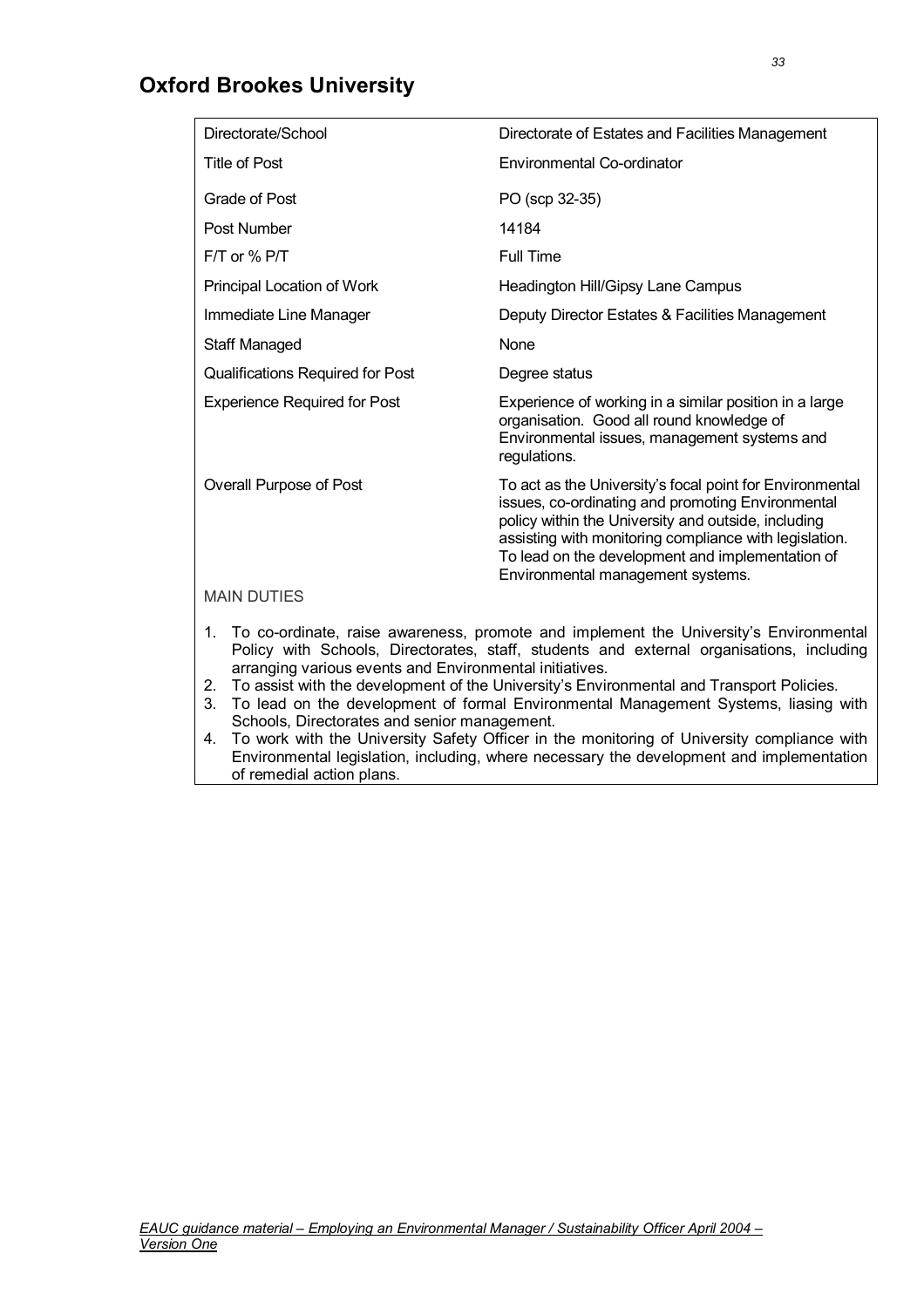## **Oxford Brookes University**

| Directorate/School                                      | Directorate of Estates and Facilities Management                                                                                                                                                                                                                                                                        |
|---------------------------------------------------------|-------------------------------------------------------------------------------------------------------------------------------------------------------------------------------------------------------------------------------------------------------------------------------------------------------------------------|
| Title of Post                                           | Environmental Co-ordinator                                                                                                                                                                                                                                                                                              |
| Grade of Post                                           | PO (scp 32-35)                                                                                                                                                                                                                                                                                                          |
| Post Number                                             | 14184                                                                                                                                                                                                                                                                                                                   |
| $FT$ or % P/T                                           | <b>Full Time</b>                                                                                                                                                                                                                                                                                                        |
| Principal Location of Work                              | Headington Hill/Gipsy Lane Campus                                                                                                                                                                                                                                                                                       |
| Immediate Line Manager                                  | Deputy Director Estates & Facilities Management                                                                                                                                                                                                                                                                         |
| <b>Staff Managed</b>                                    | None                                                                                                                                                                                                                                                                                                                    |
| <b>Qualifications Required for Post</b>                 | Degree status                                                                                                                                                                                                                                                                                                           |
| <b>Experience Required for Post</b>                     | Experience of working in a similar position in a large<br>organisation. Good all round knowledge of<br>Environmental issues, management systems and<br>regulations.                                                                                                                                                     |
| Overall Purpose of Post                                 | To act as the University's focal point for Environmental<br>issues, co-ordinating and promoting Environmental<br>policy within the University and outside, including<br>assisting with monitoring compliance with legislation.<br>To lead on the development and implementation of<br>Environmental management systems. |
| <b>MAIN DUTIES</b>                                      |                                                                                                                                                                                                                                                                                                                         |
| arranging various events and Environmental initiatives. | 1. To co-ordinate, raise awareness, promote and implement the University's Environmental<br>Policy with Schools, Directorates, staff, students and external organisations, including<br>To assist with the development of the University's Environmental and Transport Policies                                         |

- 2. To assist with the development of the University's Environmental and Transport Policies.
- 3. To lead on the development of formal Environmental Management Systems, liasing with Schools, Directorates and senior management.
- 4. To work with the University Safety Officer in the monitoring of University compliance with Environmental legislation, including, where necessary the development and implementation of remedial action plans.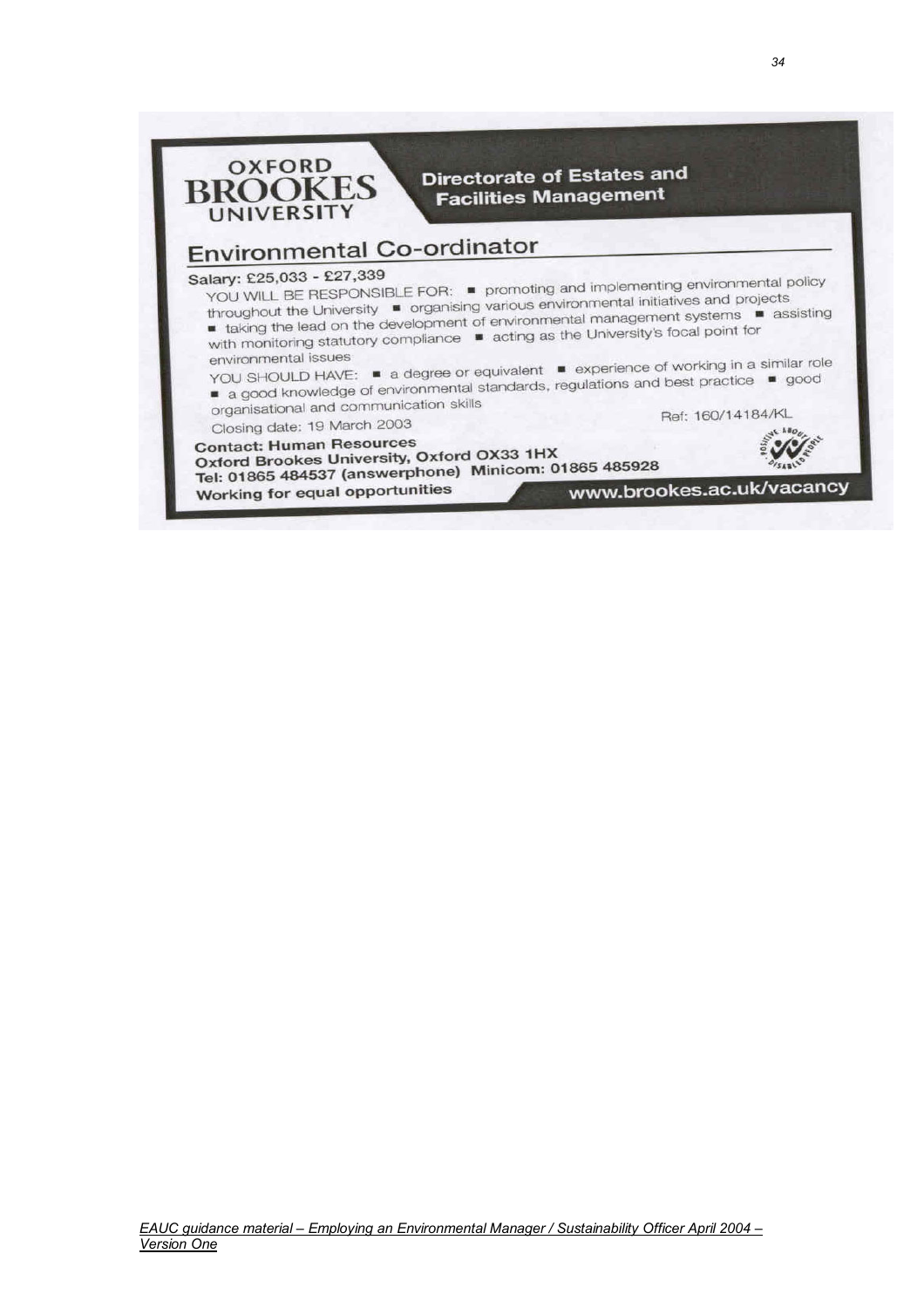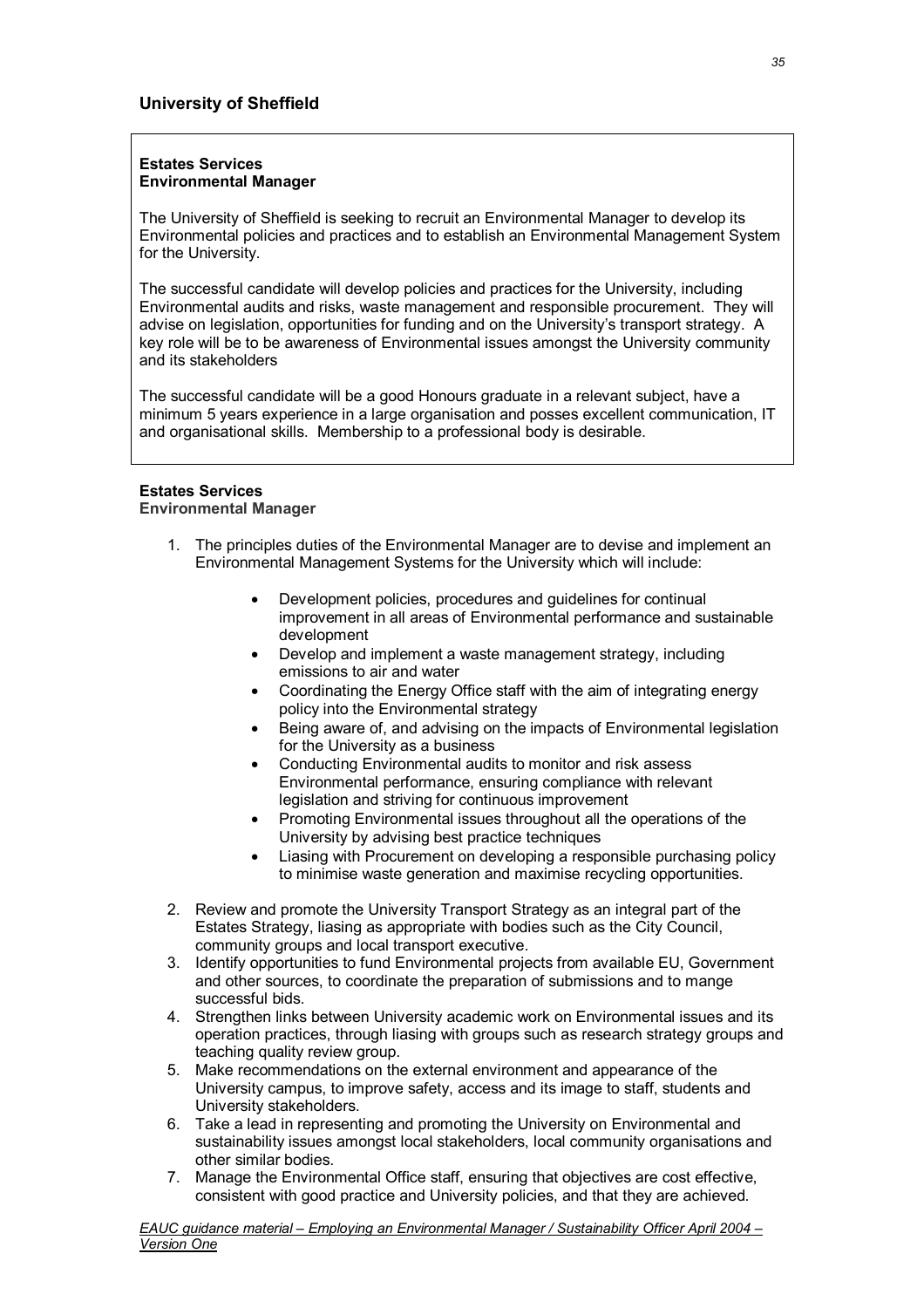#### **Estates Services Environmental Manager**

The University of Sheffield is seeking to recruit an Environmental Manager to develop its Environmental policies and practices and to establish an Environmental Management System for the University.

The successful candidate will develop policies and practices for the University, including Environmental audits and risks, waste management and responsible procurement. They will advise on legislation, opportunities for funding and on the University's transport strategy. A key role will be to be awareness of Environmental issues amongst the University community and its stakeholders

The successful candidate will be a good Honours graduate in a relevant subject, have a minimum 5 years experience in a large organisation and posses excellent communication, IT and organisational skills. Membership to a professional body is desirable.

#### **Estates Services Environmental Manager**

- 1. The principles duties of the Environmental Manager are to devise and implement an Environmental Management Systems for the University which will include:
	- Development policies, procedures and guidelines for continual improvement in all areas of Environmental performance and sustainable development
	- Develop and implement a waste management strategy, including emissions to air and water
	- Coordinating the Energy Office staff with the aim of integrating energy policy into the Environmental strategy
	- Being aware of, and advising on the impacts of Environmental legislation for the University as a business
	- Conducting Environmental audits to monitor and risk assess Environmental performance, ensuring compliance with relevant legislation and striving for continuous improvement
	- Promoting Environmental issues throughout all the operations of the University by advising best practice techniques
	- Liasing with Procurement on developing a responsible purchasing policy to minimise waste generation and maximise recycling opportunities.
- 2. Review and promote the University Transport Strategy as an integral part of the Estates Strategy, liasing as appropriate with bodies such as the City Council, community groups and local transport executive.
- 3. Identify opportunities to fund Environmental projects from available EU, Government and other sources, to coordinate the preparation of submissions and to mange successful bids.
- 4. Strengthen links between University academic work on Environmental issues and its operation practices, through liasing with groups such as research strategy groups and teaching quality review group.
- 5. Make recommendations on the external environment and appearance of the University campus, to improve safety, access and its image to staff, students and University stakeholders.
- 6. Take a lead in representing and promoting the University on Environmental and sustainability issues amongst local stakeholders, local community organisations and other similar bodies.
- 7. Manage the Environmental Office staff, ensuring that objectives are cost effective, consistent with good practice and University policies, and that they are achieved.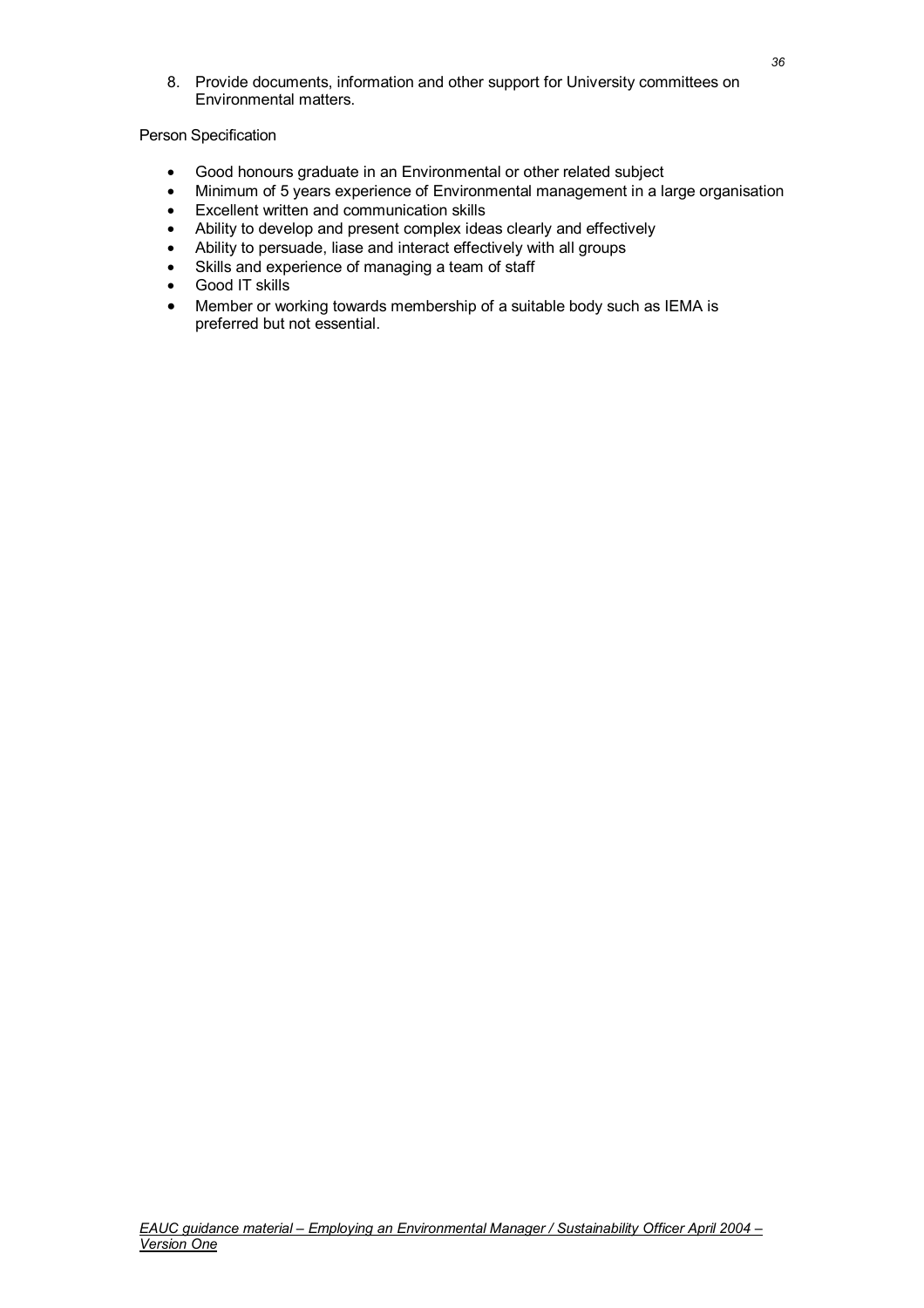8. Provide documents, information and other support for University committees on Environmental matters.

### Person Specification

- Good honours graduate in an Environmental or other related subject
- Minimum of 5 years experience of Environmental management in a large organisation
- Excellent written and communication skills
- Ability to develop and present complex ideas clearly and effectively<br>• Ability to persuade, liase and interact effectively with all groups
- Ability to persuade, liase and interact effectively with all groups
- Skills and experience of managing a team of staff
- Good IT skills
- Member or working towards membership of a suitable body such as IEMA is preferred but not essential.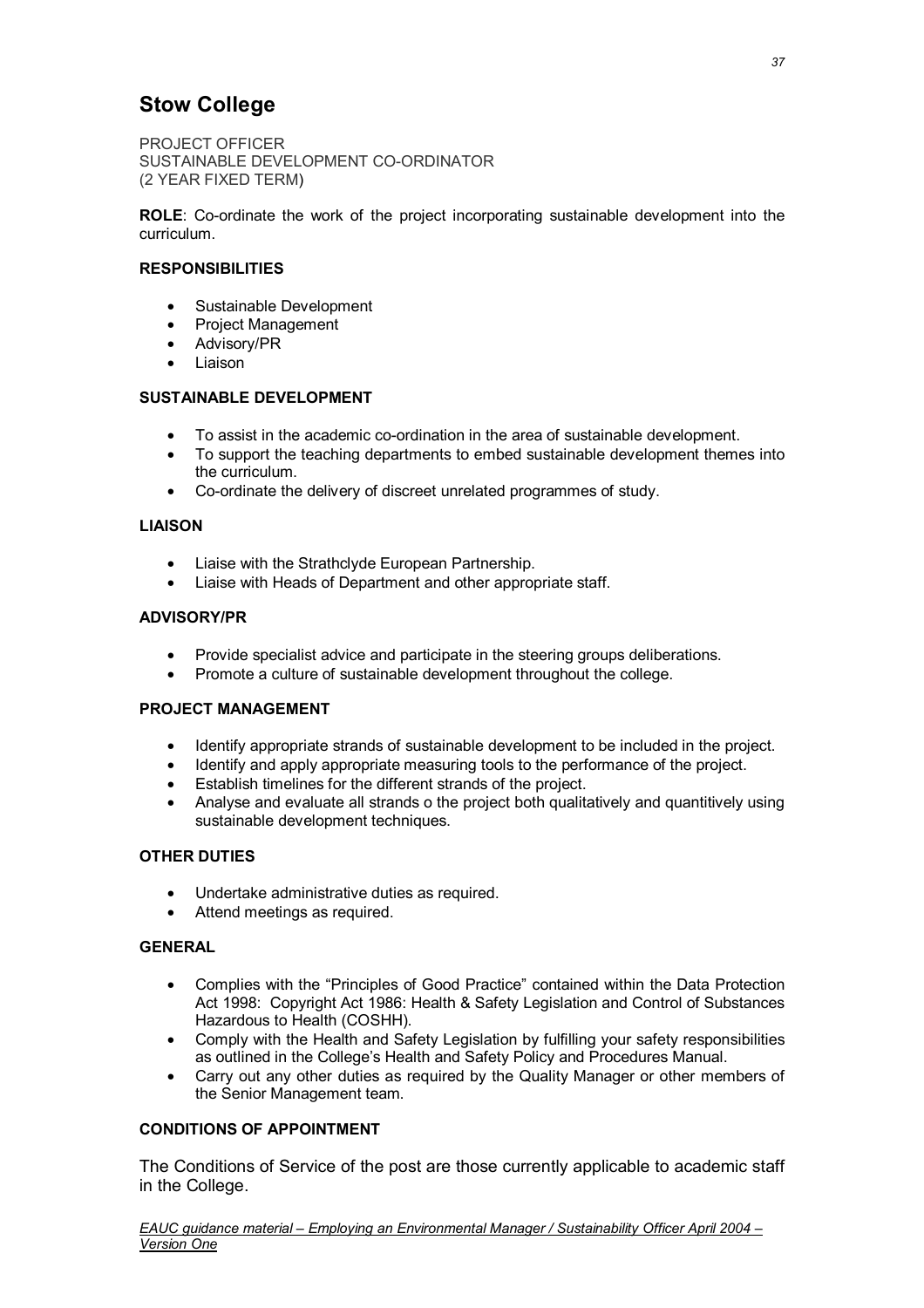### **Stow College**

PROJECT OFFICER SUSTAINABLE DEVELOPMENT CO-ORDINATOR (2 YEAR FIXED TERM)

**ROLE**: Co-ordinate the work of the project incorporating sustainable development into the curriculum.

### **RESPONSIBILITIES**

- Sustainable Development
- Project Management
- Advisory/PR
- Liaison

#### **SUSTAINABLE DEVELOPMENT**

- To assist in the academic co-ordination in the area of sustainable development.
- To support the teaching departments to embed sustainable development themes into the curriculum.
- Co-ordinate the delivery of discreet unrelated programmes of study.

#### **LIAISON**

- Liaise with the Strathclyde European Partnership.
- Liaise with Heads of Department and other appropriate staff.

#### **ADVISORY/PR**

- Provide specialist advice and participate in the steering groups deliberations.
- Promote a culture of sustainable development throughout the college.

#### **PROJECT MANAGEMENT**

- Identify appropriate strands of sustainable development to be included in the project.
- Identify and apply appropriate measuring tools to the performance of the project.
- Establish timelines for the different strands of the project.
- Analyse and evaluate all strands o the project both qualitatively and quantitively using sustainable development techniques.

### **OTHER DUTIES**

- Undertake administrative duties as required.
- Attend meetings as required.

#### **GENERAL**

- Complies with the "Principles of Good Practice" contained within the Data Protection Act 1998: Copyright Act 1986: Health & Safety Legislation and Control of Substances Hazardous to Health (COSHH).
- Comply with the Health and Safety Legislation by fulfilling your safety responsibilities as outlined in the College's Health and Safety Policy and Procedures Manual.
- Carry out any other duties as required by the Quality Manager or other members of the Senior Management team.

### **CONDITIONS OF APPOINTMENT**

The Conditions of Service of the post are those currently applicable to academic staff in the College.

*EAUC guidance material – Employing an Environmental Manager / Sustainability Officer April 2004 – Version One*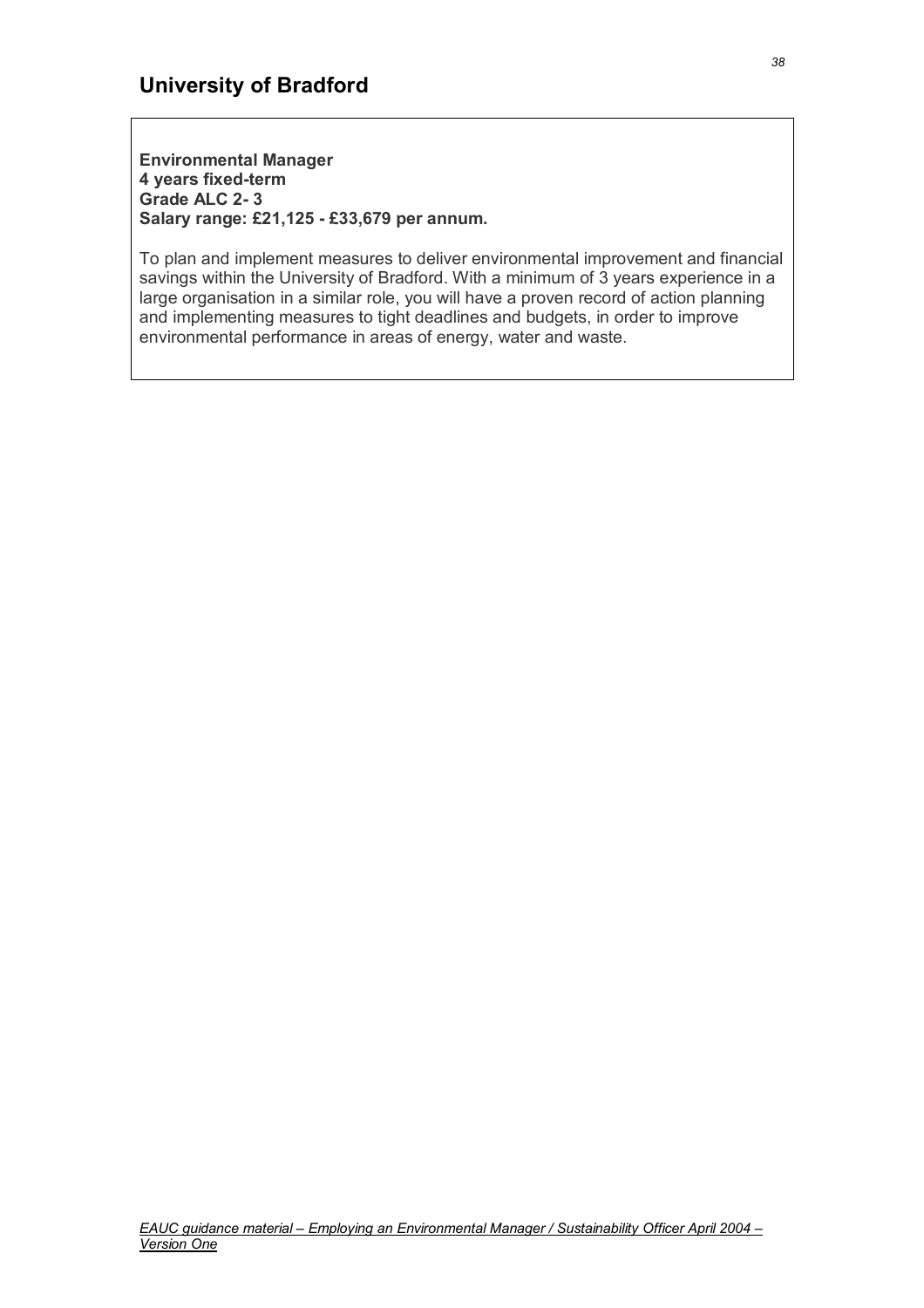**Environmental Manager 4 years fixed-term Grade ALC 2- 3 Salary range: £21,125 - £33,679 per annum.**

To plan and implement measures to deliver environmental improvement and financial savings within the University of Bradford. With a minimum of 3 years experience in a large organisation in a similar role, you will have a proven record of action planning and implementing measures to tight deadlines and budgets, in order to improve environmental performance in areas of energy, water and waste.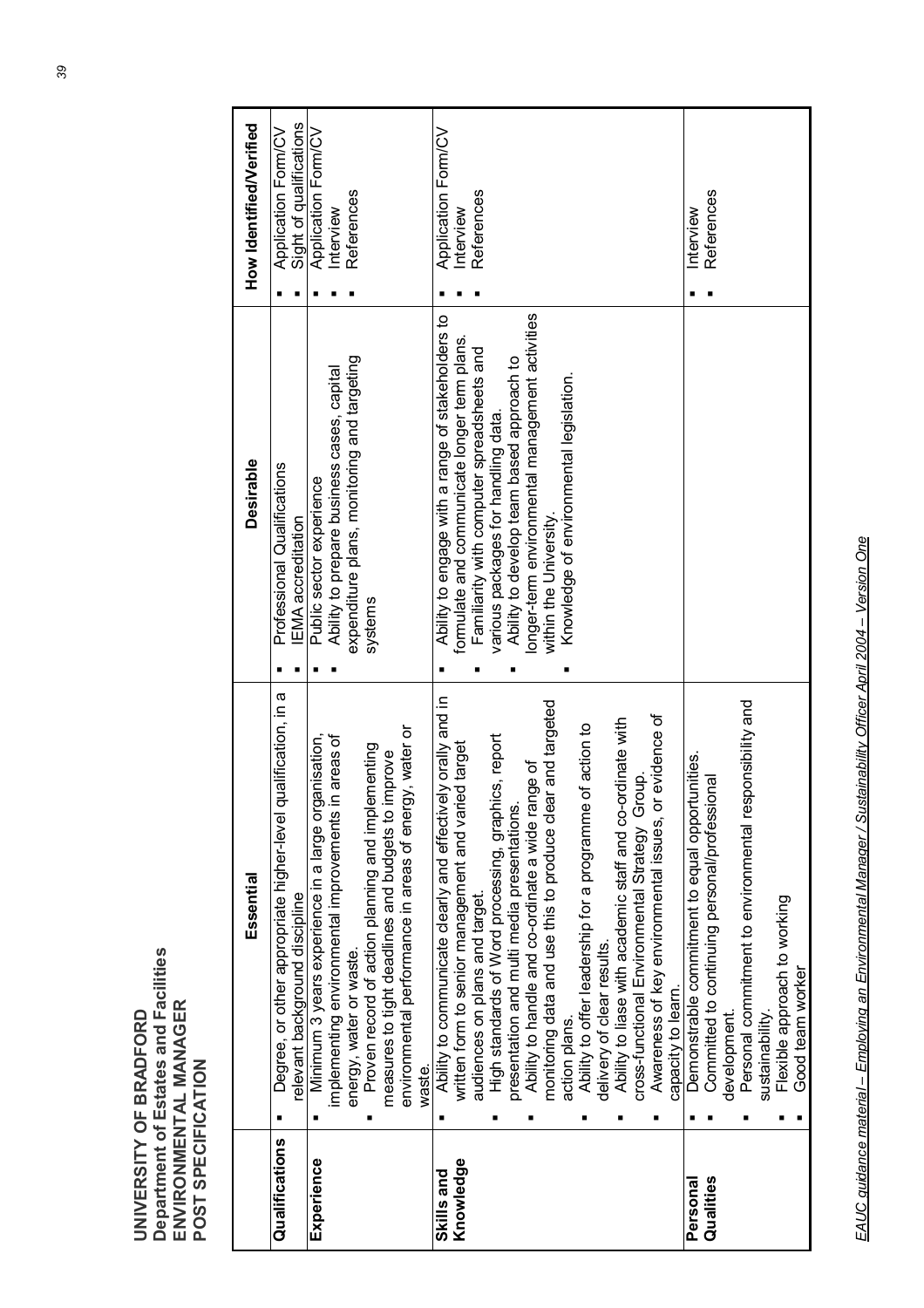|                         | Essential                                                                                                                                                                                                                                                                                                                                                                                                                                                                                                                                                                                                                                                                                 | <b>Desirable</b>                                                                                                                                                                                                                                                                                                                                           | How Identified/Verified                        |
|-------------------------|-------------------------------------------------------------------------------------------------------------------------------------------------------------------------------------------------------------------------------------------------------------------------------------------------------------------------------------------------------------------------------------------------------------------------------------------------------------------------------------------------------------------------------------------------------------------------------------------------------------------------------------------------------------------------------------------|------------------------------------------------------------------------------------------------------------------------------------------------------------------------------------------------------------------------------------------------------------------------------------------------------------------------------------------------------------|------------------------------------------------|
| Qualifications          | qualification, in a<br>Degree, or other appropriate higher-level<br>relevant background discipline                                                                                                                                                                                                                                                                                                                                                                                                                                                                                                                                                                                        | Professional Qualifications<br>EMA accreditation                                                                                                                                                                                                                                                                                                           | Application Form/CV<br>Sight of qualifications |
| Experience              | environmental performance in areas of energy, water or<br>Minimum 3 years experience in a large organisation,<br>implementing environmental improvements in areas of<br>lementing<br>measures to tight deadlines and budgets to improve<br>Proven record of action planning and impl<br>energy, water or waste.<br>waste.                                                                                                                                                                                                                                                                                                                                                                 | expenditure plans, monitoring and targeting<br>Ability to prepare business cases, capital<br>Public sector experience<br>systems                                                                                                                                                                                                                           | Application Form/CV<br>References<br>Interview |
| Knowledge<br>Skills and | Ability to communicate clearly and effectively orally and in<br>written form to senior management and varied target<br>monitoring data and use this to produce clear and targeted<br>or evidence of<br>Ability to liase with academic staff and co-ordinate with<br>Ability to offer leadership for a programme of action to<br>High standards of Word processing, graphics, report<br>Ability to handle and co-ordinate a wide range of<br>cross-functional Environmental Strategy Group.<br>presentation and multi media presentations<br>Awareness of key environmental issues,<br>audiences on plans and target.<br>delivery of clear results.<br>capacity to learn.<br>action plans. | onger-term environmental management activities<br>Ability to engage with a range of stakeholders to<br>formulate and communicate longer term plans.<br>Familiarity with computer spreadsheets and<br>Ability to develop team based approach to<br>Knowledge of environmental legislation.<br>various packages for handling data.<br>within the University. | Application Form/CV<br>References<br>Interview |
| Qualities<br>Personal   | Personal commitment to environmental responsibility and<br>Demonstrable commitment to equal opportunities.<br>Committed to continuing personal/professional<br>Flexible approach to working<br>Good team worker<br>sustainability.<br>development.                                                                                                                                                                                                                                                                                                                                                                                                                                        |                                                                                                                                                                                                                                                                                                                                                            | References<br>Interview                        |

EAUC guidance material - Employing an Environmental Manager / Sustainability Officer April 2004 - Version One *EAUC guidance material – Employing an Environmental Manager / Sustainability Officer April 2004 – Version One*

**UNIVERSITY OF BRADFORD** 

UNIVERSITY OF BRADFORD

**Department of Estates and Facilities** 

**ENVIRONMENTAL MANAGER** 

**Department of Estates and Facilities<br>ENVIRONMENTAL MANAGER<br>POST SPECIFICATION** 

**POST SPECIFICATION**